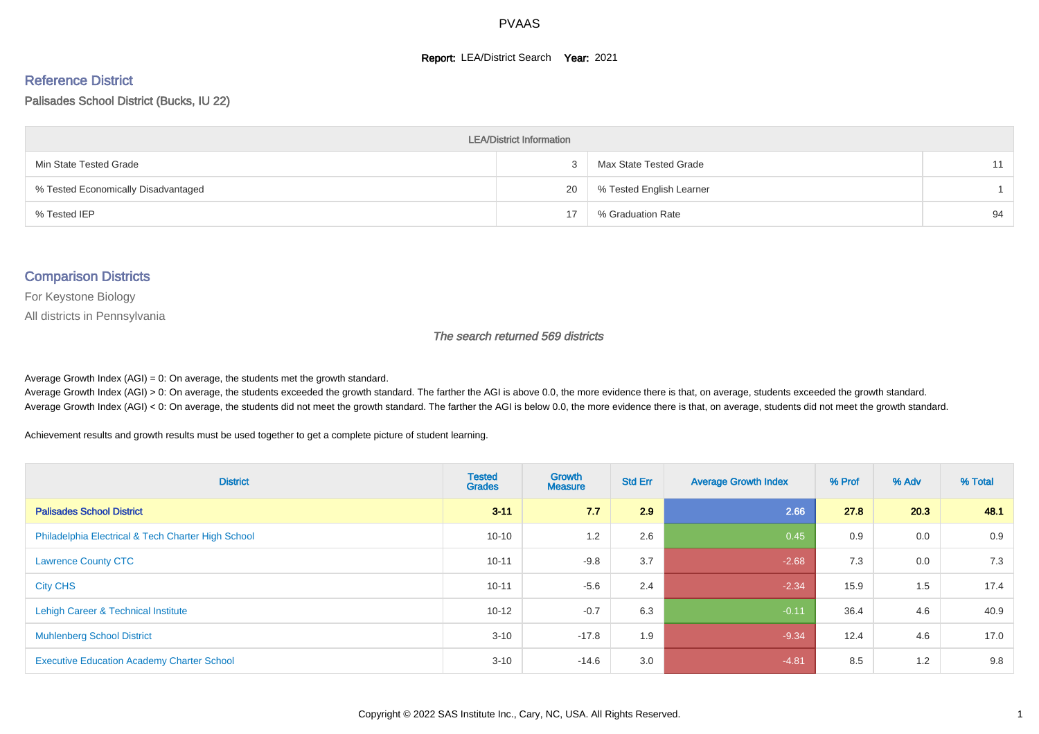#### **Report: LEA/District Search Year: 2021**

#### Reference District

#### Palisades School District (Bucks, IU 22)

| <b>LEA/District Information</b>     |    |                          |    |  |  |  |  |  |  |
|-------------------------------------|----|--------------------------|----|--|--|--|--|--|--|
| Min State Tested Grade              | 3  | Max State Tested Grade   |    |  |  |  |  |  |  |
| % Tested Economically Disadvantaged | 20 | % Tested English Learner |    |  |  |  |  |  |  |
| % Tested IEP                        | 17 | % Graduation Rate        | 94 |  |  |  |  |  |  |

#### Comparison Districts

For Keystone Biology

All districts in Pennsylvania

The search returned 569 districts

Average Growth Index  $(AGI) = 0$ : On average, the students met the growth standard.

Average Growth Index (AGI) > 0: On average, the students exceeded the growth standard. The farther the AGI is above 0.0, the more evidence there is that, on average, students exceeded the growth standard. Average Growth Index (AGI) < 0: On average, the students did not meet the growth standard. The farther the AGI is below 0.0, the more evidence there is that, on average, students did not meet the growth standard.

Achievement results and growth results must be used together to get a complete picture of student learning.

| <b>District</b>                                    | <b>Tested</b><br><b>Grades</b> | <b>Growth</b><br><b>Measure</b> | <b>Std Err</b> | <b>Average Growth Index</b> | % Prof | % Adv | % Total |
|----------------------------------------------------|--------------------------------|---------------------------------|----------------|-----------------------------|--------|-------|---------|
| <b>Palisades School District</b>                   | $3 - 11$                       | 7.7                             | 2.9            | 2.66                        | 27.8   | 20.3  | 48.1    |
| Philadelphia Electrical & Tech Charter High School | $10 - 10$                      | 1.2                             | 2.6            | 0.45                        | 0.9    | 0.0   | 0.9     |
| <b>Lawrence County CTC</b>                         | $10 - 11$                      | $-9.8$                          | 3.7            | $-2.68$                     | 7.3    | 0.0   | 7.3     |
| <b>City CHS</b>                                    | $10 - 11$                      | $-5.6$                          | 2.4            | $-2.34$                     | 15.9   | 1.5   | 17.4    |
| Lehigh Career & Technical Institute                | $10 - 12$                      | $-0.7$                          | 6.3            | $-0.11$                     | 36.4   | 4.6   | 40.9    |
| <b>Muhlenberg School District</b>                  | $3 - 10$                       | $-17.8$                         | 1.9            | $-9.34$                     | 12.4   | 4.6   | 17.0    |
| <b>Executive Education Academy Charter School</b>  | $3 - 10$                       | $-14.6$                         | 3.0            | $-4.81$                     | 8.5    | 1.2   | 9.8     |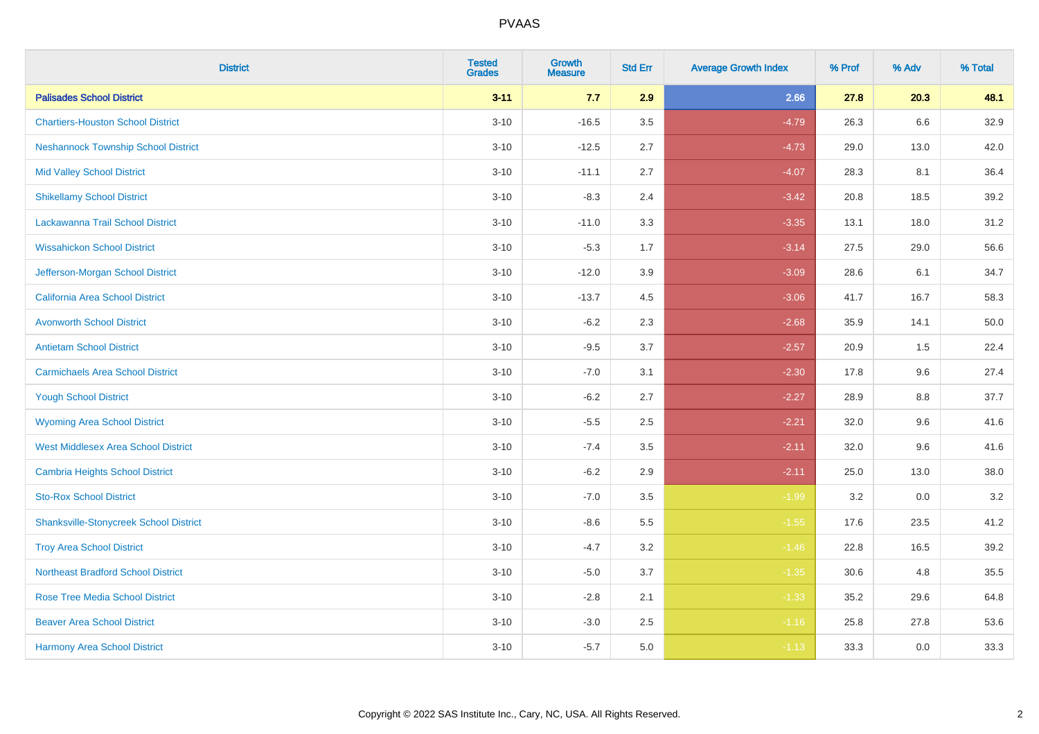| <b>District</b>                               | <b>Tested</b><br><b>Grades</b> | <b>Growth</b><br><b>Measure</b> | <b>Std Err</b> | <b>Average Growth Index</b> | % Prof | % Adv | % Total |
|-----------------------------------------------|--------------------------------|---------------------------------|----------------|-----------------------------|--------|-------|---------|
| <b>Palisades School District</b>              | $3 - 11$                       | 7.7                             | 2.9            | 2.66                        | 27.8   | 20.3  | 48.1    |
| <b>Chartiers-Houston School District</b>      | $3 - 10$                       | $-16.5$                         | $3.5\,$        | $-4.79$                     | 26.3   | 6.6   | 32.9    |
| <b>Neshannock Township School District</b>    | $3 - 10$                       | $-12.5$                         | 2.7            | $-4.73$                     | 29.0   | 13.0  | 42.0    |
| <b>Mid Valley School District</b>             | $3 - 10$                       | $-11.1$                         | 2.7            | $-4.07$                     | 28.3   | 8.1   | 36.4    |
| <b>Shikellamy School District</b>             | $3 - 10$                       | $-8.3$                          | 2.4            | $-3.42$                     | 20.8   | 18.5  | 39.2    |
| Lackawanna Trail School District              | $3 - 10$                       | $-11.0$                         | 3.3            | $-3.35$                     | 13.1   | 18.0  | 31.2    |
| <b>Wissahickon School District</b>            | $3 - 10$                       | $-5.3$                          | 1.7            | $-3.14$                     | 27.5   | 29.0  | 56.6    |
| Jefferson-Morgan School District              | $3 - 10$                       | $-12.0$                         | 3.9            | $-3.09$                     | 28.6   | 6.1   | 34.7    |
| California Area School District               | $3 - 10$                       | $-13.7$                         | 4.5            | $-3.06$                     | 41.7   | 16.7  | 58.3    |
| <b>Avonworth School District</b>              | $3 - 10$                       | $-6.2$                          | 2.3            | $-2.68$                     | 35.9   | 14.1  | 50.0    |
| <b>Antietam School District</b>               | $3 - 10$                       | $-9.5$                          | 3.7            | $-2.57$                     | 20.9   | 1.5   | 22.4    |
| <b>Carmichaels Area School District</b>       | $3 - 10$                       | $-7.0$                          | 3.1            | $-2.30$                     | 17.8   | 9.6   | 27.4    |
| <b>Yough School District</b>                  | $3 - 10$                       | $-6.2$                          | 2.7            | $-2.27$                     | 28.9   | 8.8   | 37.7    |
| <b>Wyoming Area School District</b>           | $3 - 10$                       | $-5.5$                          | 2.5            | $-2.21$                     | 32.0   | 9.6   | 41.6    |
| <b>West Middlesex Area School District</b>    | $3 - 10$                       | $-7.4$                          | 3.5            | $-2.11$                     | 32.0   | 9.6   | 41.6    |
| <b>Cambria Heights School District</b>        | $3 - 10$                       | $-6.2$                          | 2.9            | $-2.11$                     | 25.0   | 13.0  | 38.0    |
| <b>Sto-Rox School District</b>                | $3 - 10$                       | $-7.0$                          | 3.5            | $-1.99$                     | 3.2    | 0.0   | $3.2\,$ |
| <b>Shanksville-Stonycreek School District</b> | $3 - 10$                       | $-8.6$                          | 5.5            | $-1.55$                     | 17.6   | 23.5  | 41.2    |
| <b>Troy Area School District</b>              | $3 - 10$                       | $-4.7$                          | 3.2            | $-1.46$                     | 22.8   | 16.5  | 39.2    |
| <b>Northeast Bradford School District</b>     | $3 - 10$                       | $-5.0$                          | 3.7            | $-1.35$                     | 30.6   | 4.8   | 35.5    |
| <b>Rose Tree Media School District</b>        | $3 - 10$                       | $-2.8$                          | 2.1            | $-1.33$                     | 35.2   | 29.6  | 64.8    |
| <b>Beaver Area School District</b>            | $3 - 10$                       | $-3.0$                          | 2.5            | $-1.16$                     | 25.8   | 27.8  | 53.6    |
| <b>Harmony Area School District</b>           | $3 - 10$                       | $-5.7$                          | 5.0            | $-1.13$                     | 33.3   | 0.0   | 33.3    |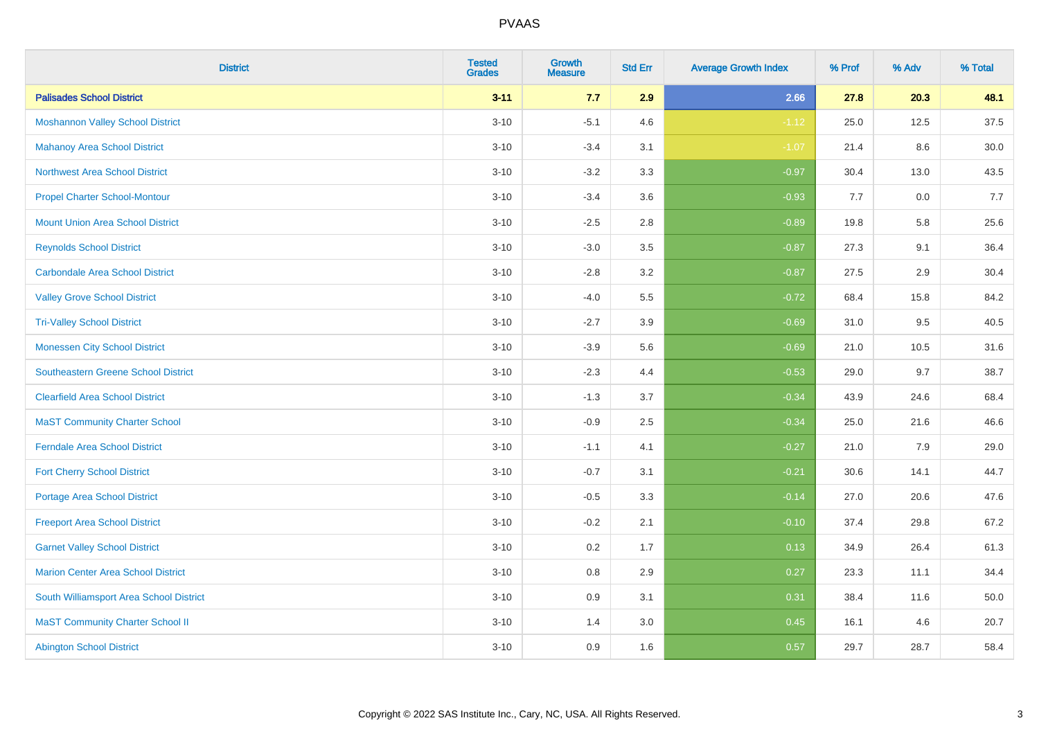| <b>District</b>                            | <b>Tested</b><br><b>Grades</b> | <b>Growth</b><br><b>Measure</b> | <b>Std Err</b> | <b>Average Growth Index</b> | % Prof | % Adv | % Total |
|--------------------------------------------|--------------------------------|---------------------------------|----------------|-----------------------------|--------|-------|---------|
| <b>Palisades School District</b>           | $3 - 11$                       | 7.7                             | 2.9            | 2.66                        | 27.8   | 20.3  | 48.1    |
| <b>Moshannon Valley School District</b>    | $3 - 10$                       | $-5.1$                          | 4.6            | $-1.12$                     | 25.0   | 12.5  | 37.5    |
| <b>Mahanoy Area School District</b>        | $3 - 10$                       | $-3.4$                          | 3.1            | $-1.07$                     | 21.4   | 8.6   | 30.0    |
| <b>Northwest Area School District</b>      | $3 - 10$                       | $-3.2$                          | 3.3            | $-0.97$                     | 30.4   | 13.0  | 43.5    |
| <b>Propel Charter School-Montour</b>       | $3 - 10$                       | $-3.4$                          | 3.6            | $-0.93$                     | 7.7    | 0.0   | 7.7     |
| <b>Mount Union Area School District</b>    | $3 - 10$                       | $-2.5$                          | 2.8            | $-0.89$                     | 19.8   | 5.8   | 25.6    |
| <b>Reynolds School District</b>            | $3 - 10$                       | $-3.0$                          | 3.5            | $-0.87$                     | 27.3   | 9.1   | 36.4    |
| <b>Carbondale Area School District</b>     | $3 - 10$                       | $-2.8$                          | 3.2            | $-0.87$                     | 27.5   | 2.9   | 30.4    |
| <b>Valley Grove School District</b>        | $3 - 10$                       | $-4.0$                          | 5.5            | $-0.72$                     | 68.4   | 15.8  | 84.2    |
| <b>Tri-Valley School District</b>          | $3 - 10$                       | $-2.7$                          | 3.9            | $-0.69$                     | 31.0   | 9.5   | 40.5    |
| <b>Monessen City School District</b>       | $3 - 10$                       | $-3.9$                          | 5.6            | $-0.69$                     | 21.0   | 10.5  | 31.6    |
| <b>Southeastern Greene School District</b> | $3 - 10$                       | $-2.3$                          | 4.4            | $-0.53$                     | 29.0   | 9.7   | 38.7    |
| <b>Clearfield Area School District</b>     | $3 - 10$                       | $-1.3$                          | 3.7            | $-0.34$                     | 43.9   | 24.6  | 68.4    |
| <b>MaST Community Charter School</b>       | $3 - 10$                       | $-0.9$                          | 2.5            | $-0.34$                     | 25.0   | 21.6  | 46.6    |
| <b>Ferndale Area School District</b>       | $3 - 10$                       | $-1.1$                          | 4.1            | $-0.27$                     | 21.0   | 7.9   | 29.0    |
| <b>Fort Cherry School District</b>         | $3 - 10$                       | $-0.7$                          | 3.1            | $-0.21$                     | 30.6   | 14.1  | 44.7    |
| <b>Portage Area School District</b>        | $3 - 10$                       | $-0.5$                          | 3.3            | $-0.14$                     | 27.0   | 20.6  | 47.6    |
| <b>Freeport Area School District</b>       | $3 - 10$                       | $-0.2$                          | 2.1            | $-0.10$                     | 37.4   | 29.8  | 67.2    |
| <b>Garnet Valley School District</b>       | $3 - 10$                       | 0.2                             | 1.7            | 0.13                        | 34.9   | 26.4  | 61.3    |
| <b>Marion Center Area School District</b>  | $3 - 10$                       | $0.8\,$                         | 2.9            | 0.27                        | 23.3   | 11.1  | 34.4    |
| South Williamsport Area School District    | $3 - 10$                       | 0.9                             | 3.1            | 0.31                        | 38.4   | 11.6  | 50.0    |
| <b>MaST Community Charter School II</b>    | $3 - 10$                       | 1.4                             | 3.0            | 0.45                        | 16.1   | 4.6   | 20.7    |
| <b>Abington School District</b>            | $3 - 10$                       | 0.9                             | 1.6            | 0.57                        | 29.7   | 28.7  | 58.4    |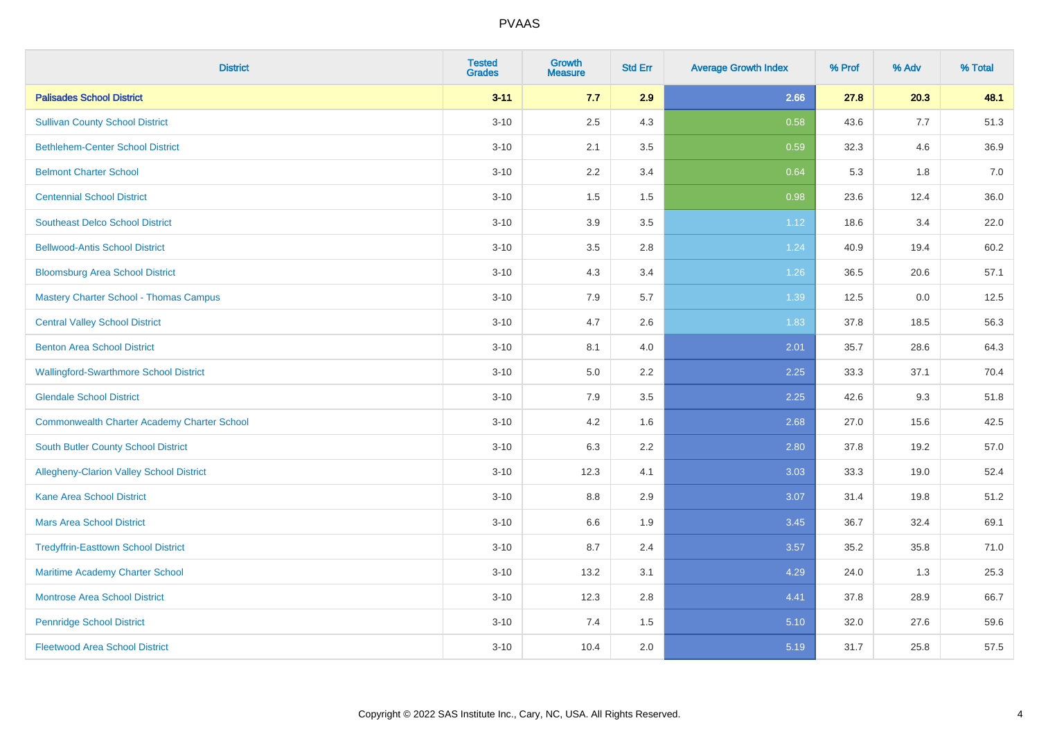| <b>District</b>                                    | <b>Tested</b><br><b>Grades</b> | <b>Growth</b><br><b>Measure</b> | <b>Std Err</b> | <b>Average Growth Index</b> | % Prof | % Adv | % Total |
|----------------------------------------------------|--------------------------------|---------------------------------|----------------|-----------------------------|--------|-------|---------|
| <b>Palisades School District</b>                   | $3 - 11$                       | 7.7                             | 2.9            | 2.66                        | 27.8   | 20.3  | 48.1    |
| <b>Sullivan County School District</b>             | $3 - 10$                       | 2.5                             | 4.3            | 0.58                        | 43.6   | 7.7   | 51.3    |
| <b>Bethlehem-Center School District</b>            | $3 - 10$                       | 2.1                             | 3.5            | 0.59                        | 32.3   | 4.6   | 36.9    |
| <b>Belmont Charter School</b>                      | $3 - 10$                       | 2.2                             | 3.4            | 0.64                        | 5.3    | 1.8   | $7.0\,$ |
| <b>Centennial School District</b>                  | $3 - 10$                       | 1.5                             | 1.5            | 0.98                        | 23.6   | 12.4  | 36.0    |
| <b>Southeast Delco School District</b>             | $3 - 10$                       | 3.9                             | 3.5            | 1.12                        | 18.6   | 3.4   | 22.0    |
| <b>Bellwood-Antis School District</b>              | $3 - 10$                       | 3.5                             | 2.8            | 1.24                        | 40.9   | 19.4  | 60.2    |
| <b>Bloomsburg Area School District</b>             | $3 - 10$                       | 4.3                             | 3.4            | 1.26                        | 36.5   | 20.6  | 57.1    |
| <b>Mastery Charter School - Thomas Campus</b>      | $3 - 10$                       | 7.9                             | 5.7            | 1.39                        | 12.5   | 0.0   | 12.5    |
| <b>Central Valley School District</b>              | $3 - 10$                       | 4.7                             | $2.6\,$        | 1.83                        | 37.8   | 18.5  | 56.3    |
| <b>Benton Area School District</b>                 | $3 - 10$                       | 8.1                             | 4.0            | 2.01                        | 35.7   | 28.6  | 64.3    |
| <b>Wallingford-Swarthmore School District</b>      | $3 - 10$                       | $5.0\,$                         | 2.2            | 2.25                        | 33.3   | 37.1  | 70.4    |
| <b>Glendale School District</b>                    | $3 - 10$                       | 7.9                             | 3.5            | 2.25                        | 42.6   | 9.3   | 51.8    |
| <b>Commonwealth Charter Academy Charter School</b> | $3 - 10$                       | 4.2                             | 1.6            | 2.68                        | 27.0   | 15.6  | 42.5    |
| <b>South Butler County School District</b>         | $3 - 10$                       | 6.3                             | 2.2            | 2.80                        | 37.8   | 19.2  | 57.0    |
| <b>Allegheny-Clarion Valley School District</b>    | $3 - 10$                       | 12.3                            | 4.1            | 3.03                        | 33.3   | 19.0  | 52.4    |
| <b>Kane Area School District</b>                   | $3 - 10$                       | 8.8                             | 2.9            | 3.07                        | 31.4   | 19.8  | 51.2    |
| <b>Mars Area School District</b>                   | $3 - 10$                       | 6.6                             | 1.9            | 3.45                        | 36.7   | 32.4  | 69.1    |
| <b>Tredyffrin-Easttown School District</b>         | $3 - 10$                       | 8.7                             | 2.4            | 3.57                        | 35.2   | 35.8  | 71.0    |
| Maritime Academy Charter School                    | $3 - 10$                       | 13.2                            | 3.1            | 4.29                        | 24.0   | 1.3   | 25.3    |
| <b>Montrose Area School District</b>               | $3 - 10$                       | 12.3                            | 2.8            | 4.41                        | 37.8   | 28.9  | 66.7    |
| <b>Pennridge School District</b>                   | $3 - 10$                       | 7.4                             | 1.5            | 5.10                        | 32.0   | 27.6  | 59.6    |
| <b>Fleetwood Area School District</b>              | $3 - 10$                       | 10.4                            | 2.0            | 5.19                        | 31.7   | 25.8  | 57.5    |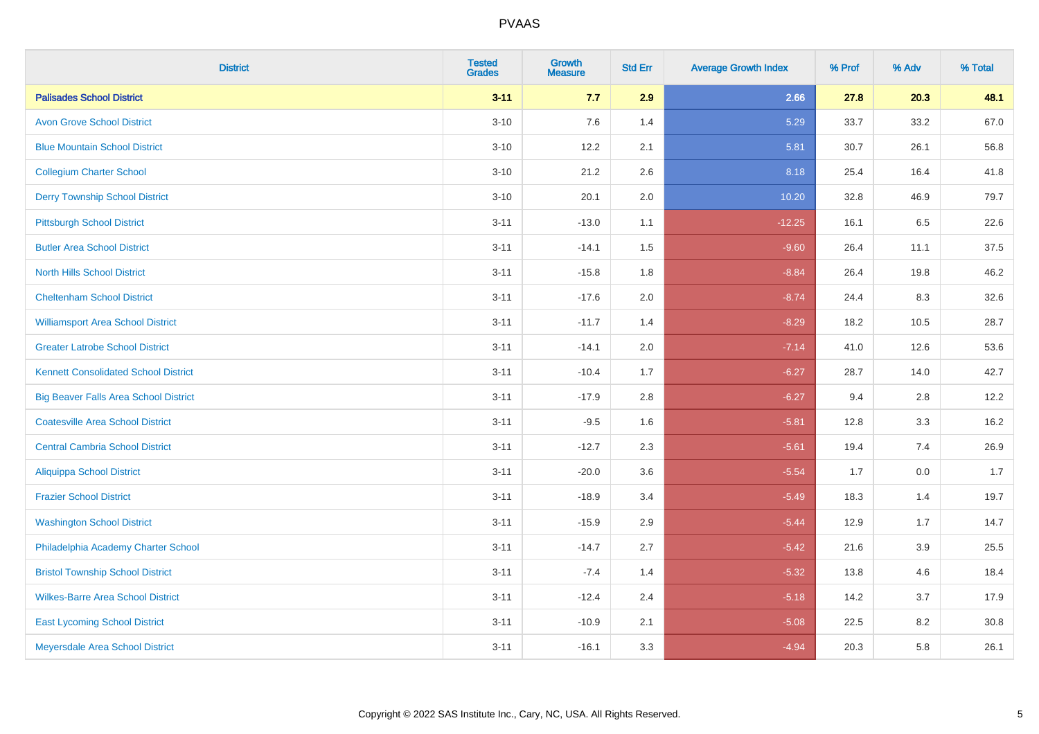| <b>District</b>                              | <b>Tested</b><br><b>Grades</b> | Growth<br><b>Measure</b> | <b>Std Err</b> | <b>Average Growth Index</b> | % Prof | % Adv | % Total |
|----------------------------------------------|--------------------------------|--------------------------|----------------|-----------------------------|--------|-------|---------|
| <b>Palisades School District</b>             | $3 - 11$                       | 7.7                      | 2.9            | 2.66                        | 27.8   | 20.3  | 48.1    |
| <b>Avon Grove School District</b>            | $3 - 10$                       | 7.6                      | 1.4            | 5.29                        | 33.7   | 33.2  | 67.0    |
| <b>Blue Mountain School District</b>         | $3 - 10$                       | 12.2                     | 2.1            | 5.81                        | 30.7   | 26.1  | 56.8    |
| <b>Collegium Charter School</b>              | $3 - 10$                       | 21.2                     | 2.6            | 8.18                        | 25.4   | 16.4  | 41.8    |
| <b>Derry Township School District</b>        | $3 - 10$                       | 20.1                     | 2.0            | 10.20                       | 32.8   | 46.9  | 79.7    |
| <b>Pittsburgh School District</b>            | $3 - 11$                       | $-13.0$                  | 1.1            | $-12.25$                    | 16.1   | 6.5   | 22.6    |
| <b>Butler Area School District</b>           | $3 - 11$                       | $-14.1$                  | 1.5            | $-9.60$                     | 26.4   | 11.1  | 37.5    |
| <b>North Hills School District</b>           | $3 - 11$                       | $-15.8$                  | 1.8            | $-8.84$                     | 26.4   | 19.8  | 46.2    |
| <b>Cheltenham School District</b>            | $3 - 11$                       | $-17.6$                  | 2.0            | $-8.74$                     | 24.4   | 8.3   | 32.6    |
| <b>Williamsport Area School District</b>     | $3 - 11$                       | $-11.7$                  | 1.4            | $-8.29$                     | 18.2   | 10.5  | 28.7    |
| <b>Greater Latrobe School District</b>       | $3 - 11$                       | $-14.1$                  | 2.0            | $-7.14$                     | 41.0   | 12.6  | 53.6    |
| <b>Kennett Consolidated School District</b>  | $3 - 11$                       | $-10.4$                  | 1.7            | $-6.27$                     | 28.7   | 14.0  | 42.7    |
| <b>Big Beaver Falls Area School District</b> | $3 - 11$                       | $-17.9$                  | 2.8            | $-6.27$                     | 9.4    | 2.8   | 12.2    |
| <b>Coatesville Area School District</b>      | $3 - 11$                       | $-9.5$                   | 1.6            | $-5.81$                     | 12.8   | 3.3   | 16.2    |
| <b>Central Cambria School District</b>       | $3 - 11$                       | $-12.7$                  | 2.3            | $-5.61$                     | 19.4   | 7.4   | 26.9    |
| <b>Aliquippa School District</b>             | $3 - 11$                       | $-20.0$                  | 3.6            | $-5.54$                     | 1.7    | 0.0   | 1.7     |
| <b>Frazier School District</b>               | $3 - 11$                       | $-18.9$                  | 3.4            | $-5.49$                     | 18.3   | 1.4   | 19.7    |
| <b>Washington School District</b>            | $3 - 11$                       | $-15.9$                  | 2.9            | $-5.44$                     | 12.9   | 1.7   | 14.7    |
| Philadelphia Academy Charter School          | $3 - 11$                       | $-14.7$                  | 2.7            | $-5.42$                     | 21.6   | 3.9   | 25.5    |
| <b>Bristol Township School District</b>      | $3 - 11$                       | $-7.4$                   | 1.4            | $-5.32$                     | 13.8   | 4.6   | 18.4    |
| <b>Wilkes-Barre Area School District</b>     | $3 - 11$                       | $-12.4$                  | 2.4            | $-5.18$                     | 14.2   | 3.7   | 17.9    |
| <b>East Lycoming School District</b>         | $3 - 11$                       | $-10.9$                  | 2.1            | $-5.08$                     | 22.5   | 8.2   | 30.8    |
| Meyersdale Area School District              | $3 - 11$                       | $-16.1$                  | 3.3            | $-4.94$                     | 20.3   | 5.8   | 26.1    |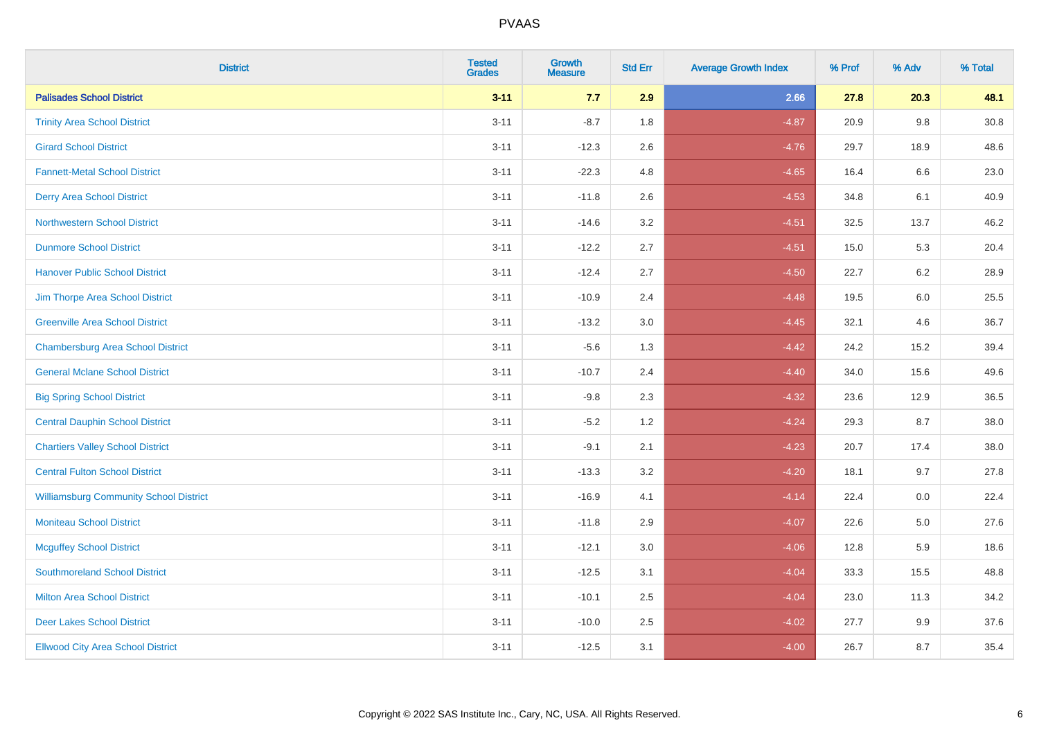| <b>District</b>                               | <b>Tested</b><br><b>Grades</b> | <b>Growth</b><br><b>Measure</b> | <b>Std Err</b> | <b>Average Growth Index</b> | % Prof | % Adv | % Total |
|-----------------------------------------------|--------------------------------|---------------------------------|----------------|-----------------------------|--------|-------|---------|
| <b>Palisades School District</b>              | $3 - 11$                       | 7.7                             | 2.9            | 2.66                        | 27.8   | 20.3  | 48.1    |
| <b>Trinity Area School District</b>           | $3 - 11$                       | $-8.7$                          | 1.8            | $-4.87$                     | 20.9   | 9.8   | 30.8    |
| <b>Girard School District</b>                 | $3 - 11$                       | $-12.3$                         | 2.6            | $-4.76$                     | 29.7   | 18.9  | 48.6    |
| <b>Fannett-Metal School District</b>          | $3 - 11$                       | $-22.3$                         | 4.8            | $-4.65$                     | 16.4   | 6.6   | 23.0    |
| <b>Derry Area School District</b>             | $3 - 11$                       | $-11.8$                         | 2.6            | $-4.53$                     | 34.8   | 6.1   | 40.9    |
| <b>Northwestern School District</b>           | $3 - 11$                       | $-14.6$                         | 3.2            | $-4.51$                     | 32.5   | 13.7  | 46.2    |
| <b>Dunmore School District</b>                | $3 - 11$                       | $-12.2$                         | 2.7            | $-4.51$                     | 15.0   | 5.3   | 20.4    |
| <b>Hanover Public School District</b>         | $3 - 11$                       | $-12.4$                         | 2.7            | $-4.50$                     | 22.7   | 6.2   | 28.9    |
| Jim Thorpe Area School District               | $3 - 11$                       | $-10.9$                         | 2.4            | $-4.48$                     | 19.5   | 6.0   | 25.5    |
| <b>Greenville Area School District</b>        | $3 - 11$                       | $-13.2$                         | 3.0            | $-4.45$                     | 32.1   | 4.6   | 36.7    |
| <b>Chambersburg Area School District</b>      | $3 - 11$                       | $-5.6$                          | 1.3            | $-4.42$                     | 24.2   | 15.2  | 39.4    |
| <b>General Mclane School District</b>         | $3 - 11$                       | $-10.7$                         | 2.4            | $-4.40$                     | 34.0   | 15.6  | 49.6    |
| <b>Big Spring School District</b>             | $3 - 11$                       | $-9.8$                          | 2.3            | $-4.32$                     | 23.6   | 12.9  | 36.5    |
| <b>Central Dauphin School District</b>        | $3 - 11$                       | $-5.2$                          | 1.2            | $-4.24$                     | 29.3   | 8.7   | 38.0    |
| <b>Chartiers Valley School District</b>       | $3 - 11$                       | $-9.1$                          | 2.1            | $-4.23$                     | 20.7   | 17.4  | 38.0    |
| <b>Central Fulton School District</b>         | $3 - 11$                       | $-13.3$                         | 3.2            | $-4.20$                     | 18.1   | 9.7   | 27.8    |
| <b>Williamsburg Community School District</b> | $3 - 11$                       | $-16.9$                         | 4.1            | $-4.14$                     | 22.4   | 0.0   | 22.4    |
| <b>Moniteau School District</b>               | $3 - 11$                       | $-11.8$                         | 2.9            | $-4.07$                     | 22.6   | 5.0   | 27.6    |
| <b>Mcguffey School District</b>               | $3 - 11$                       | $-12.1$                         | 3.0            | $-4.06$                     | 12.8   | 5.9   | 18.6    |
| <b>Southmoreland School District</b>          | $3 - 11$                       | $-12.5$                         | 3.1            | $-4.04$                     | 33.3   | 15.5  | 48.8    |
| <b>Milton Area School District</b>            | $3 - 11$                       | $-10.1$                         | 2.5            | $-4.04$                     | 23.0   | 11.3  | 34.2    |
| <b>Deer Lakes School District</b>             | $3 - 11$                       | $-10.0$                         | 2.5            | $-4.02$                     | 27.7   | 9.9   | 37.6    |
| <b>Ellwood City Area School District</b>      | $3 - 11$                       | $-12.5$                         | 3.1            | $-4.00$                     | 26.7   | 8.7   | 35.4    |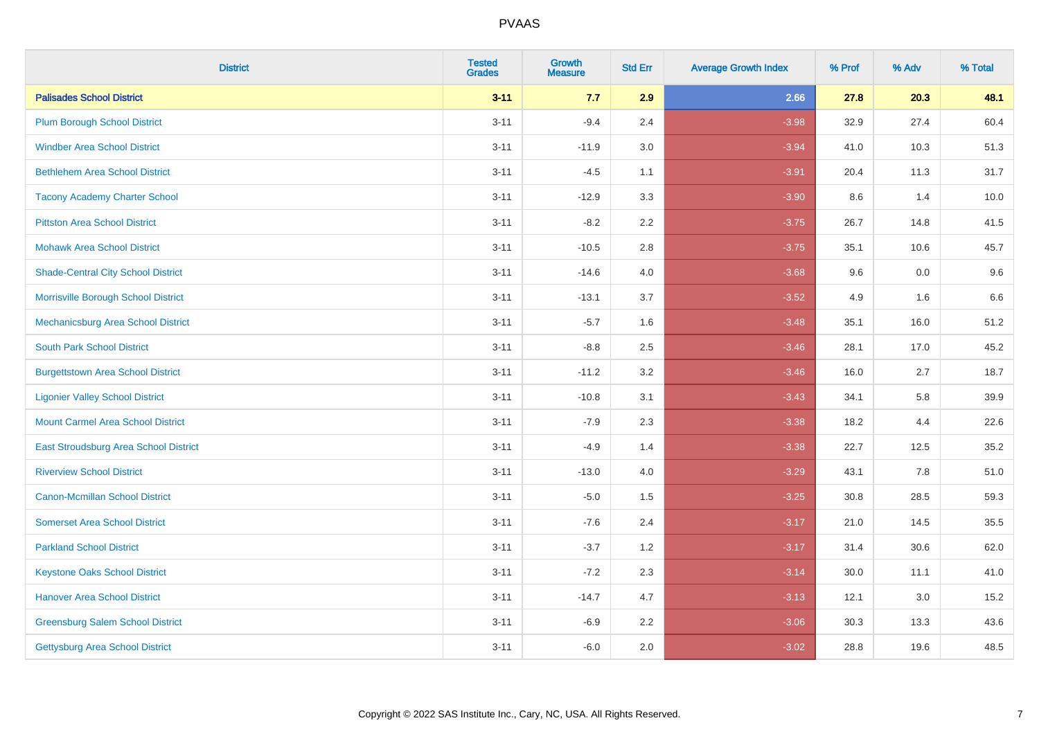| <b>District</b>                           | <b>Tested</b><br><b>Grades</b> | Growth<br><b>Measure</b> | <b>Std Err</b> | <b>Average Growth Index</b> | % Prof | % Adv | % Total |
|-------------------------------------------|--------------------------------|--------------------------|----------------|-----------------------------|--------|-------|---------|
| <b>Palisades School District</b>          | $3 - 11$                       | 7.7                      | 2.9            | 2.66                        | 27.8   | 20.3  | 48.1    |
| <b>Plum Borough School District</b>       | $3 - 11$                       | $-9.4$                   | 2.4            | $-3.98$                     | 32.9   | 27.4  | 60.4    |
| <b>Windber Area School District</b>       | $3 - 11$                       | $-11.9$                  | 3.0            | $-3.94$                     | 41.0   | 10.3  | 51.3    |
| <b>Bethlehem Area School District</b>     | $3 - 11$                       | $-4.5$                   | 1.1            | $-3.91$                     | 20.4   | 11.3  | 31.7    |
| <b>Tacony Academy Charter School</b>      | $3 - 11$                       | $-12.9$                  | 3.3            | $-3.90$                     | 8.6    | 1.4   | 10.0    |
| <b>Pittston Area School District</b>      | $3 - 11$                       | $-8.2$                   | 2.2            | $-3.75$                     | 26.7   | 14.8  | 41.5    |
| <b>Mohawk Area School District</b>        | $3 - 11$                       | $-10.5$                  | 2.8            | $-3.75$                     | 35.1   | 10.6  | 45.7    |
| <b>Shade-Central City School District</b> | $3 - 11$                       | $-14.6$                  | 4.0            | $-3.68$                     | 9.6    | 0.0   | 9.6     |
| Morrisville Borough School District       | $3 - 11$                       | $-13.1$                  | 3.7            | $-3.52$                     | 4.9    | 1.6   | 6.6     |
| <b>Mechanicsburg Area School District</b> | $3 - 11$                       | $-5.7$                   | 1.6            | $-3.48$                     | 35.1   | 16.0  | 51.2    |
| <b>South Park School District</b>         | $3 - 11$                       | $-8.8$                   | 2.5            | $-3.46$                     | 28.1   | 17.0  | 45.2    |
| <b>Burgettstown Area School District</b>  | $3 - 11$                       | $-11.2$                  | 3.2            | $-3.46$                     | 16.0   | 2.7   | 18.7    |
| <b>Ligonier Valley School District</b>    | $3 - 11$                       | $-10.8$                  | 3.1            | $-3.43$                     | 34.1   | 5.8   | 39.9    |
| <b>Mount Carmel Area School District</b>  | $3 - 11$                       | $-7.9$                   | 2.3            | $-3.38$                     | 18.2   | 4.4   | 22.6    |
| East Stroudsburg Area School District     | $3 - 11$                       | $-4.9$                   | 1.4            | $-3.38$                     | 22.7   | 12.5  | 35.2    |
| <b>Riverview School District</b>          | $3 - 11$                       | $-13.0$                  | 4.0            | $-3.29$                     | 43.1   | 7.8   | 51.0    |
| <b>Canon-Mcmillan School District</b>     | $3 - 11$                       | $-5.0$                   | 1.5            | $-3.25$                     | 30.8   | 28.5  | 59.3    |
| <b>Somerset Area School District</b>      | $3 - 11$                       | $-7.6$                   | 2.4            | $-3.17$                     | 21.0   | 14.5  | 35.5    |
| <b>Parkland School District</b>           | $3 - 11$                       | $-3.7$                   | 1.2            | $-3.17$                     | 31.4   | 30.6  | 62.0    |
| <b>Keystone Oaks School District</b>      | $3 - 11$                       | $-7.2$                   | 2.3            | $-3.14$                     | 30.0   | 11.1  | 41.0    |
| <b>Hanover Area School District</b>       | $3 - 11$                       | $-14.7$                  | 4.7            | $-3.13$                     | 12.1   | 3.0   | 15.2    |
| <b>Greensburg Salem School District</b>   | $3 - 11$                       | $-6.9$                   | 2.2            | $-3.06$                     | 30.3   | 13.3  | 43.6    |
| <b>Gettysburg Area School District</b>    | $3 - 11$                       | $-6.0$                   | 2.0            | $-3.02$                     | 28.8   | 19.6  | 48.5    |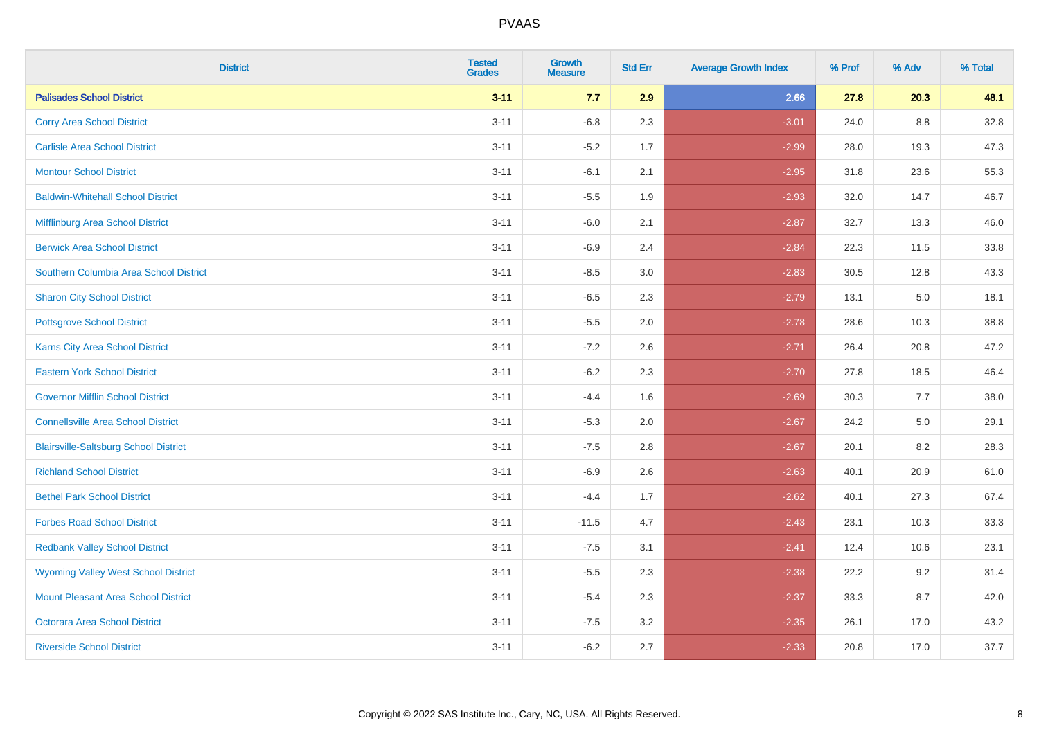| <b>District</b>                              | <b>Tested</b><br><b>Grades</b> | Growth<br><b>Measure</b> | <b>Std Err</b> | <b>Average Growth Index</b> | % Prof | % Adv   | % Total |
|----------------------------------------------|--------------------------------|--------------------------|----------------|-----------------------------|--------|---------|---------|
| <b>Palisades School District</b>             | $3 - 11$                       | 7.7                      | 2.9            | 2.66                        | 27.8   | 20.3    | 48.1    |
| <b>Corry Area School District</b>            | $3 - 11$                       | $-6.8$                   | 2.3            | $-3.01$                     | 24.0   | 8.8     | 32.8    |
| <b>Carlisle Area School District</b>         | $3 - 11$                       | $-5.2$                   | 1.7            | $-2.99$                     | 28.0   | 19.3    | 47.3    |
| <b>Montour School District</b>               | $3 - 11$                       | $-6.1$                   | 2.1            | $-2.95$                     | 31.8   | 23.6    | 55.3    |
| <b>Baldwin-Whitehall School District</b>     | $3 - 11$                       | $-5.5$                   | 1.9            | $-2.93$                     | 32.0   | 14.7    | 46.7    |
| Mifflinburg Area School District             | $3 - 11$                       | $-6.0$                   | 2.1            | $-2.87$                     | 32.7   | 13.3    | 46.0    |
| <b>Berwick Area School District</b>          | $3 - 11$                       | $-6.9$                   | 2.4            | $-2.84$                     | 22.3   | 11.5    | 33.8    |
| Southern Columbia Area School District       | $3 - 11$                       | $-8.5$                   | 3.0            | $-2.83$                     | 30.5   | 12.8    | 43.3    |
| <b>Sharon City School District</b>           | $3 - 11$                       | $-6.5$                   | 2.3            | $-2.79$                     | 13.1   | 5.0     | 18.1    |
| <b>Pottsgrove School District</b>            | $3 - 11$                       | $-5.5$                   | 2.0            | $-2.78$                     | 28.6   | 10.3    | 38.8    |
| <b>Karns City Area School District</b>       | $3 - 11$                       | $-7.2$                   | 2.6            | $-2.71$                     | 26.4   | 20.8    | 47.2    |
| <b>Eastern York School District</b>          | $3 - 11$                       | $-6.2$                   | 2.3            | $-2.70$                     | 27.8   | 18.5    | 46.4    |
| <b>Governor Mifflin School District</b>      | $3 - 11$                       | $-4.4$                   | 1.6            | $-2.69$                     | 30.3   | 7.7     | 38.0    |
| <b>Connellsville Area School District</b>    | $3 - 11$                       | $-5.3$                   | 2.0            | $-2.67$                     | 24.2   | $5.0\,$ | 29.1    |
| <b>Blairsville-Saltsburg School District</b> | $3 - 11$                       | $-7.5$                   | 2.8            | $-2.67$                     | 20.1   | 8.2     | 28.3    |
| <b>Richland School District</b>              | $3 - 11$                       | $-6.9$                   | 2.6            | $-2.63$                     | 40.1   | 20.9    | 61.0    |
| <b>Bethel Park School District</b>           | $3 - 11$                       | $-4.4$                   | 1.7            | $-2.62$                     | 40.1   | 27.3    | 67.4    |
| <b>Forbes Road School District</b>           | $3 - 11$                       | $-11.5$                  | 4.7            | $-2.43$                     | 23.1   | 10.3    | 33.3    |
| <b>Redbank Valley School District</b>        | $3 - 11$                       | $-7.5$                   | 3.1            | $-2.41$                     | 12.4   | 10.6    | 23.1    |
| <b>Wyoming Valley West School District</b>   | $3 - 11$                       | $-5.5$                   | 2.3            | $-2.38$                     | 22.2   | 9.2     | 31.4    |
| Mount Pleasant Area School District          | $3 - 11$                       | $-5.4$                   | 2.3            | $-2.37$                     | 33.3   | 8.7     | 42.0    |
| <b>Octorara Area School District</b>         | $3 - 11$                       | $-7.5$                   | 3.2            | $-2.35$                     | 26.1   | 17.0    | 43.2    |
| <b>Riverside School District</b>             | $3 - 11$                       | $-6.2$                   | 2.7            | $-2.33$                     | 20.8   | 17.0    | 37.7    |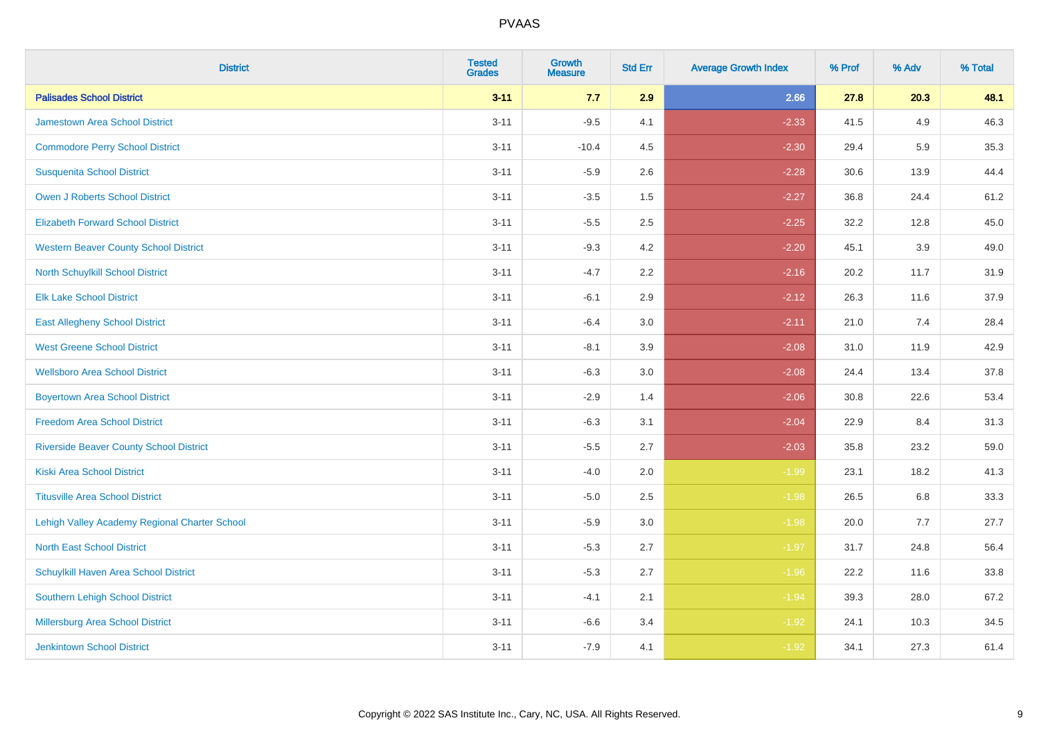| <b>District</b>                                | <b>Tested</b><br><b>Grades</b> | <b>Growth</b><br><b>Measure</b> | <b>Std Err</b> | <b>Average Growth Index</b> | % Prof | % Adv | % Total |
|------------------------------------------------|--------------------------------|---------------------------------|----------------|-----------------------------|--------|-------|---------|
| <b>Palisades School District</b>               | $3 - 11$                       | 7.7                             | 2.9            | 2.66                        | 27.8   | 20.3  | 48.1    |
| <b>Jamestown Area School District</b>          | $3 - 11$                       | $-9.5$                          | 4.1            | $-2.33$                     | 41.5   | 4.9   | 46.3    |
| <b>Commodore Perry School District</b>         | $3 - 11$                       | $-10.4$                         | 4.5            | $-2.30$                     | 29.4   | 5.9   | 35.3    |
| <b>Susquenita School District</b>              | $3 - 11$                       | $-5.9$                          | 2.6            | $-2.28$                     | 30.6   | 13.9  | 44.4    |
| Owen J Roberts School District                 | $3 - 11$                       | $-3.5$                          | 1.5            | $-2.27$                     | 36.8   | 24.4  | 61.2    |
| <b>Elizabeth Forward School District</b>       | $3 - 11$                       | $-5.5$                          | 2.5            | $-2.25$                     | 32.2   | 12.8  | 45.0    |
| <b>Western Beaver County School District</b>   | $3 - 11$                       | $-9.3$                          | 4.2            | $-2.20$                     | 45.1   | 3.9   | 49.0    |
| North Schuylkill School District               | $3 - 11$                       | $-4.7$                          | 2.2            | $-2.16$                     | 20.2   | 11.7  | 31.9    |
| <b>Elk Lake School District</b>                | $3 - 11$                       | $-6.1$                          | 2.9            | $-2.12$                     | 26.3   | 11.6  | 37.9    |
| <b>East Allegheny School District</b>          | $3 - 11$                       | $-6.4$                          | 3.0            | $-2.11$                     | 21.0   | 7.4   | 28.4    |
| <b>West Greene School District</b>             | $3 - 11$                       | $-8.1$                          | 3.9            | $-2.08$                     | 31.0   | 11.9  | 42.9    |
| <b>Wellsboro Area School District</b>          | $3 - 11$                       | $-6.3$                          | 3.0            | $-2.08$                     | 24.4   | 13.4  | 37.8    |
| <b>Boyertown Area School District</b>          | $3 - 11$                       | $-2.9$                          | 1.4            | $-2.06$                     | 30.8   | 22.6  | 53.4    |
| <b>Freedom Area School District</b>            | $3 - 11$                       | $-6.3$                          | 3.1            | $-2.04$                     | 22.9   | 8.4   | 31.3    |
| <b>Riverside Beaver County School District</b> | $3 - 11$                       | $-5.5$                          | 2.7            | $-2.03$                     | 35.8   | 23.2  | 59.0    |
| <b>Kiski Area School District</b>              | $3 - 11$                       | $-4.0$                          | 2.0            | $-1.99$                     | 23.1   | 18.2  | 41.3    |
| <b>Titusville Area School District</b>         | $3 - 11$                       | $-5.0$                          | 2.5            | $-1.98$                     | 26.5   | 6.8   | 33.3    |
| Lehigh Valley Academy Regional Charter School  | $3 - 11$                       | $-5.9$                          | 3.0            | $-1.98$                     | 20.0   | 7.7   | 27.7    |
| <b>North East School District</b>              | $3 - 11$                       | $-5.3$                          | 2.7            | $-1.97$                     | 31.7   | 24.8  | 56.4    |
| Schuylkill Haven Area School District          | $3 - 11$                       | $-5.3$                          | 2.7            | $-1.96$                     | 22.2   | 11.6  | 33.8    |
| Southern Lehigh School District                | $3 - 11$                       | $-4.1$                          | 2.1            | $-1.94$                     | 39.3   | 28.0  | 67.2    |
| Millersburg Area School District               | $3 - 11$                       | $-6.6$                          | 3.4            | $-1.92$                     | 24.1   | 10.3  | 34.5    |
| <b>Jenkintown School District</b>              | $3 - 11$                       | $-7.9$                          | 4.1            | $-1.92$                     | 34.1   | 27.3  | 61.4    |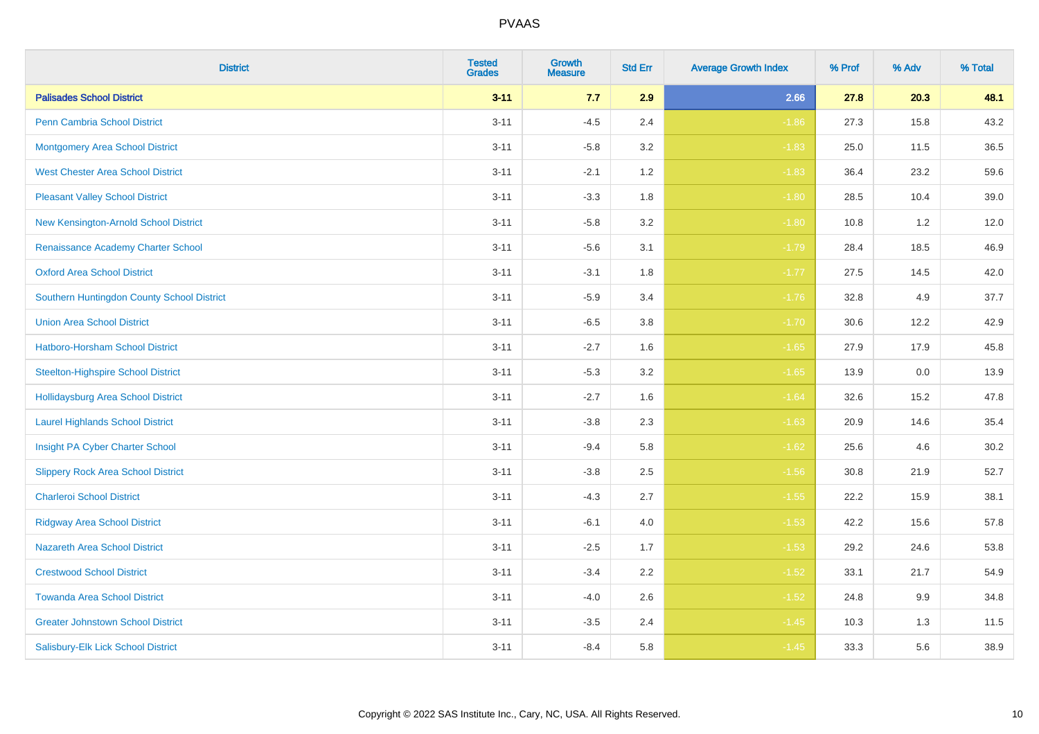| <b>District</b>                            | <b>Tested</b><br><b>Grades</b> | Growth<br><b>Measure</b> | <b>Std Err</b> | <b>Average Growth Index</b> | % Prof | % Adv | % Total |
|--------------------------------------------|--------------------------------|--------------------------|----------------|-----------------------------|--------|-------|---------|
| <b>Palisades School District</b>           | $3 - 11$                       | 7.7                      | 2.9            | 2.66                        | 27.8   | 20.3  | 48.1    |
| <b>Penn Cambria School District</b>        | $3 - 11$                       | $-4.5$                   | 2.4            | $-1.86$                     | 27.3   | 15.8  | 43.2    |
| <b>Montgomery Area School District</b>     | $3 - 11$                       | $-5.8$                   | 3.2            | $-1.83$                     | 25.0   | 11.5  | 36.5    |
| <b>West Chester Area School District</b>   | $3 - 11$                       | $-2.1$                   | 1.2            | $-1.83$                     | 36.4   | 23.2  | 59.6    |
| <b>Pleasant Valley School District</b>     | $3 - 11$                       | $-3.3$                   | 1.8            | $-1.80$                     | 28.5   | 10.4  | 39.0    |
| New Kensington-Arnold School District      | $3 - 11$                       | $-5.8$                   | 3.2            | $-1.80$                     | 10.8   | 1.2   | 12.0    |
| Renaissance Academy Charter School         | $3 - 11$                       | $-5.6$                   | 3.1            | $-1.79$                     | 28.4   | 18.5  | 46.9    |
| <b>Oxford Area School District</b>         | $3 - 11$                       | $-3.1$                   | 1.8            | $-1.77$                     | 27.5   | 14.5  | 42.0    |
| Southern Huntingdon County School District | $3 - 11$                       | $-5.9$                   | 3.4            | $-1.76$                     | 32.8   | 4.9   | 37.7    |
| <b>Union Area School District</b>          | $3 - 11$                       | $-6.5$                   | 3.8            | $-1.70$                     | 30.6   | 12.2  | 42.9    |
| Hatboro-Horsham School District            | $3 - 11$                       | $-2.7$                   | 1.6            | $-1.65$                     | 27.9   | 17.9  | 45.8    |
| <b>Steelton-Highspire School District</b>  | $3 - 11$                       | $-5.3$                   | 3.2            | $-1.65$                     | 13.9   | 0.0   | 13.9    |
| <b>Hollidaysburg Area School District</b>  | $3 - 11$                       | $-2.7$                   | 1.6            | $-1.64$                     | 32.6   | 15.2  | 47.8    |
| <b>Laurel Highlands School District</b>    | $3 - 11$                       | $-3.8$                   | 2.3            | $-1.63$                     | 20.9   | 14.6  | 35.4    |
| Insight PA Cyber Charter School            | $3 - 11$                       | $-9.4$                   | 5.8            | $-1.62$                     | 25.6   | 4.6   | 30.2    |
| <b>Slippery Rock Area School District</b>  | $3 - 11$                       | $-3.8$                   | 2.5            | $-1.56$                     | 30.8   | 21.9  | 52.7    |
| <b>Charleroi School District</b>           | $3 - 11$                       | $-4.3$                   | 2.7            | $-1.55$                     | 22.2   | 15.9  | 38.1    |
| <b>Ridgway Area School District</b>        | $3 - 11$                       | $-6.1$                   | 4.0            | $-1.53$                     | 42.2   | 15.6  | 57.8    |
| <b>Nazareth Area School District</b>       | $3 - 11$                       | $-2.5$                   | 1.7            | $-1.53$                     | 29.2   | 24.6  | 53.8    |
| <b>Crestwood School District</b>           | $3 - 11$                       | $-3.4$                   | 2.2            | $-1.52$                     | 33.1   | 21.7  | 54.9    |
| <b>Towanda Area School District</b>        | $3 - 11$                       | $-4.0$                   | 2.6            | $-1.52$                     | 24.8   | 9.9   | 34.8    |
| <b>Greater Johnstown School District</b>   | $3 - 11$                       | $-3.5$                   | 2.4            | $-1.45$                     | 10.3   | 1.3   | 11.5    |
| Salisbury-Elk Lick School District         | $3 - 11$                       | $-8.4$                   | 5.8            | $-1.45$                     | 33.3   | 5.6   | 38.9    |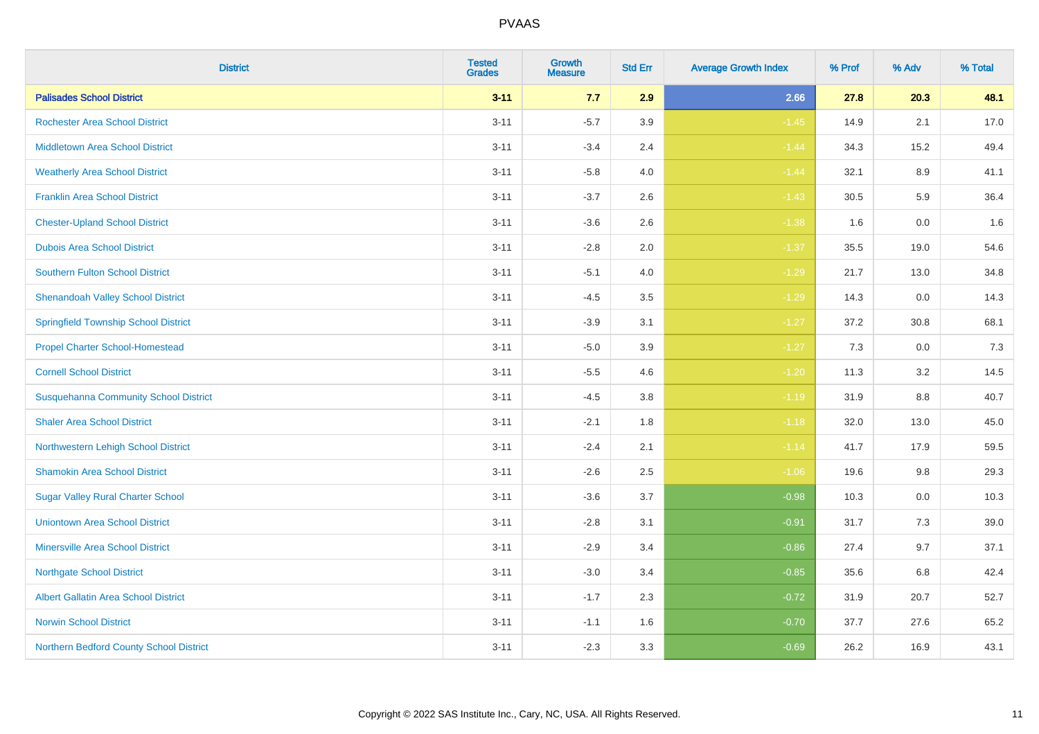| <b>District</b>                              | <b>Tested</b><br><b>Grades</b> | Growth<br><b>Measure</b> | <b>Std Err</b> | <b>Average Growth Index</b> | % Prof | % Adv   | % Total |
|----------------------------------------------|--------------------------------|--------------------------|----------------|-----------------------------|--------|---------|---------|
| <b>Palisades School District</b>             | $3 - 11$                       | 7.7                      | 2.9            | 2.66                        | 27.8   | 20.3    | 48.1    |
| <b>Rochester Area School District</b>        | $3 - 11$                       | $-5.7$                   | 3.9            | $-1.45$                     | 14.9   | 2.1     | 17.0    |
| <b>Middletown Area School District</b>       | $3 - 11$                       | $-3.4$                   | 2.4            | $-1.44$                     | 34.3   | 15.2    | 49.4    |
| <b>Weatherly Area School District</b>        | $3 - 11$                       | $-5.8$                   | 4.0            | $-1.44$                     | 32.1   | $8.9\,$ | 41.1    |
| <b>Franklin Area School District</b>         | $3 - 11$                       | $-3.7$                   | 2.6            | $-1.43$                     | 30.5   | 5.9     | 36.4    |
| <b>Chester-Upland School District</b>        | $3 - 11$                       | $-3.6$                   | 2.6            | $-1.38$                     | 1.6    | 0.0     | 1.6     |
| <b>Dubois Area School District</b>           | $3 - 11$                       | $-2.8$                   | 2.0            | $-1.37$                     | 35.5   | 19.0    | 54.6    |
| <b>Southern Fulton School District</b>       | $3 - 11$                       | $-5.1$                   | 4.0            | $-1.29$                     | 21.7   | 13.0    | 34.8    |
| <b>Shenandoah Valley School District</b>     | $3 - 11$                       | $-4.5$                   | 3.5            | $-1.29$                     | 14.3   | 0.0     | 14.3    |
| <b>Springfield Township School District</b>  | $3 - 11$                       | $-3.9$                   | 3.1            | $-1.27$                     | 37.2   | 30.8    | 68.1    |
| <b>Propel Charter School-Homestead</b>       | $3 - 11$                       | $-5.0$                   | 3.9            | $-1.27$                     | 7.3    | 0.0     | 7.3     |
| <b>Cornell School District</b>               | $3 - 11$                       | $-5.5$                   | 4.6            | $-1.20$                     | 11.3   | 3.2     | 14.5    |
| <b>Susquehanna Community School District</b> | $3 - 11$                       | $-4.5$                   | 3.8            | $-1.19$                     | 31.9   | $8.8\,$ | 40.7    |
| <b>Shaler Area School District</b>           | $3 - 11$                       | $-2.1$                   | 1.8            | $-1.18$                     | 32.0   | 13.0    | 45.0    |
| Northwestern Lehigh School District          | $3 - 11$                       | $-2.4$                   | 2.1            | $-1.14$                     | 41.7   | 17.9    | 59.5    |
| <b>Shamokin Area School District</b>         | $3 - 11$                       | $-2.6$                   | 2.5            | $-1.06$                     | 19.6   | 9.8     | 29.3    |
| <b>Sugar Valley Rural Charter School</b>     | $3 - 11$                       | $-3.6$                   | 3.7            | $-0.98$                     | 10.3   | 0.0     | 10.3    |
| <b>Uniontown Area School District</b>        | $3 - 11$                       | $-2.8$                   | 3.1            | $-0.91$                     | 31.7   | 7.3     | 39.0    |
| <b>Minersville Area School District</b>      | $3 - 11$                       | $-2.9$                   | 3.4            | $-0.86$                     | 27.4   | 9.7     | 37.1    |
| <b>Northgate School District</b>             | $3 - 11$                       | $-3.0$                   | 3.4            | $-0.85$                     | 35.6   | 6.8     | 42.4    |
| Albert Gallatin Area School District         | $3 - 11$                       | $-1.7$                   | 2.3            | $-0.72$                     | 31.9   | 20.7    | 52.7    |
| <b>Norwin School District</b>                | $3 - 11$                       | $-1.1$                   | 1.6            | $-0.70$                     | 37.7   | 27.6    | 65.2    |
| Northern Bedford County School District      | $3 - 11$                       | $-2.3$                   | 3.3            | $-0.69$                     | 26.2   | 16.9    | 43.1    |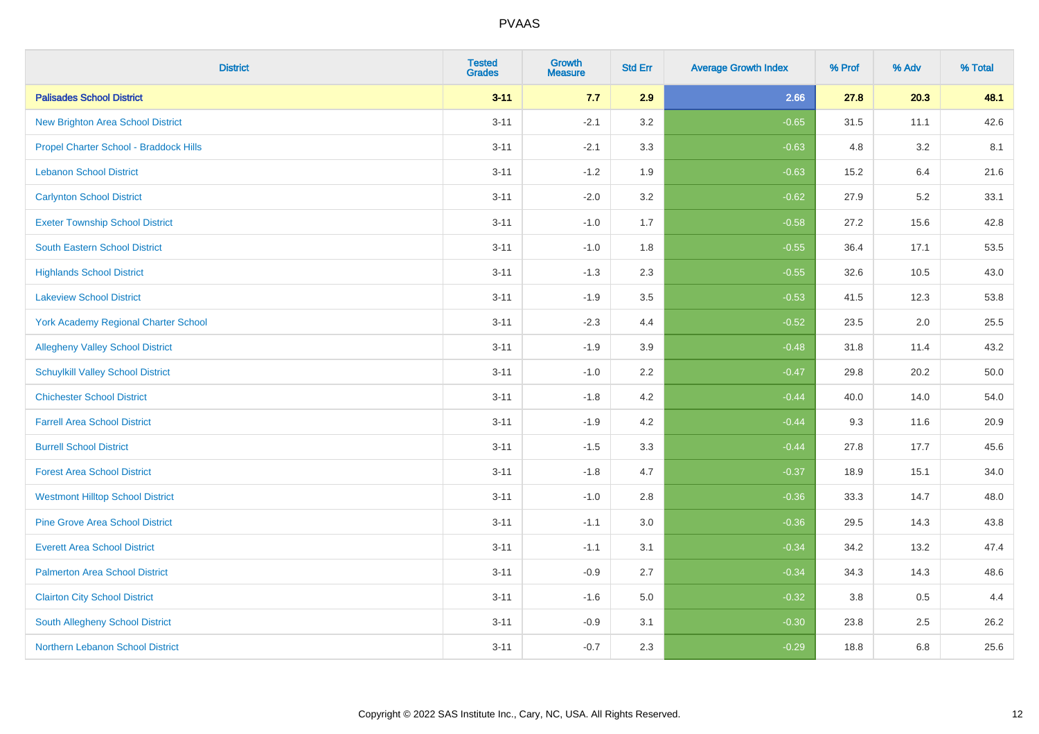| <b>District</b>                             | <b>Tested</b><br><b>Grades</b> | <b>Growth</b><br><b>Measure</b> | <b>Std Err</b> | <b>Average Growth Index</b> | % Prof | % Adv | % Total |
|---------------------------------------------|--------------------------------|---------------------------------|----------------|-----------------------------|--------|-------|---------|
| <b>Palisades School District</b>            | $3 - 11$                       | 7.7                             | 2.9            | 2.66                        | 27.8   | 20.3  | 48.1    |
| <b>New Brighton Area School District</b>    | $3 - 11$                       | $-2.1$                          | 3.2            | $-0.65$                     | 31.5   | 11.1  | 42.6    |
| Propel Charter School - Braddock Hills      | $3 - 11$                       | $-2.1$                          | 3.3            | $-0.63$                     | 4.8    | 3.2   | 8.1     |
| <b>Lebanon School District</b>              | $3 - 11$                       | $-1.2$                          | 1.9            | $-0.63$                     | 15.2   | 6.4   | 21.6    |
| <b>Carlynton School District</b>            | $3 - 11$                       | $-2.0$                          | 3.2            | $-0.62$                     | 27.9   | 5.2   | 33.1    |
| <b>Exeter Township School District</b>      | $3 - 11$                       | $-1.0$                          | 1.7            | $-0.58$                     | 27.2   | 15.6  | 42.8    |
| South Eastern School District               | $3 - 11$                       | $-1.0$                          | 1.8            | $-0.55$                     | 36.4   | 17.1  | 53.5    |
| <b>Highlands School District</b>            | $3 - 11$                       | $-1.3$                          | 2.3            | $-0.55$                     | 32.6   | 10.5  | 43.0    |
| <b>Lakeview School District</b>             | $3 - 11$                       | $-1.9$                          | 3.5            | $-0.53$                     | 41.5   | 12.3  | 53.8    |
| <b>York Academy Regional Charter School</b> | $3 - 11$                       | $-2.3$                          | 4.4            | $-0.52$                     | 23.5   | 2.0   | 25.5    |
| <b>Allegheny Valley School District</b>     | $3 - 11$                       | $-1.9$                          | 3.9            | $-0.48$                     | 31.8   | 11.4  | 43.2    |
| <b>Schuylkill Valley School District</b>    | $3 - 11$                       | $-1.0$                          | 2.2            | $-0.47$                     | 29.8   | 20.2  | 50.0    |
| <b>Chichester School District</b>           | $3 - 11$                       | $-1.8$                          | 4.2            | $-0.44$                     | 40.0   | 14.0  | 54.0    |
| <b>Farrell Area School District</b>         | $3 - 11$                       | $-1.9$                          | 4.2            | $-0.44$                     | 9.3    | 11.6  | 20.9    |
| <b>Burrell School District</b>              | $3 - 11$                       | $-1.5$                          | 3.3            | $-0.44$                     | 27.8   | 17.7  | 45.6    |
| <b>Forest Area School District</b>          | $3 - 11$                       | $-1.8$                          | 4.7            | $-0.37$                     | 18.9   | 15.1  | 34.0    |
| <b>Westmont Hilltop School District</b>     | $3 - 11$                       | $-1.0$                          | 2.8            | $-0.36$                     | 33.3   | 14.7  | 48.0    |
| <b>Pine Grove Area School District</b>      | $3 - 11$                       | $-1.1$                          | 3.0            | $-0.36$                     | 29.5   | 14.3  | 43.8    |
| <b>Everett Area School District</b>         | $3 - 11$                       | $-1.1$                          | 3.1            | $-0.34$                     | 34.2   | 13.2  | 47.4    |
| <b>Palmerton Area School District</b>       | $3 - 11$                       | $-0.9$                          | 2.7            | $-0.34$                     | 34.3   | 14.3  | 48.6    |
| <b>Clairton City School District</b>        | $3 - 11$                       | $-1.6$                          | 5.0            | $-0.32$                     | 3.8    | 0.5   | 4.4     |
| South Allegheny School District             | $3 - 11$                       | $-0.9$                          | 3.1            | $-0.30$                     | 23.8   | 2.5   | 26.2    |
| Northern Lebanon School District            | $3 - 11$                       | $-0.7$                          | 2.3            | $-0.29$                     | 18.8   | 6.8   | 25.6    |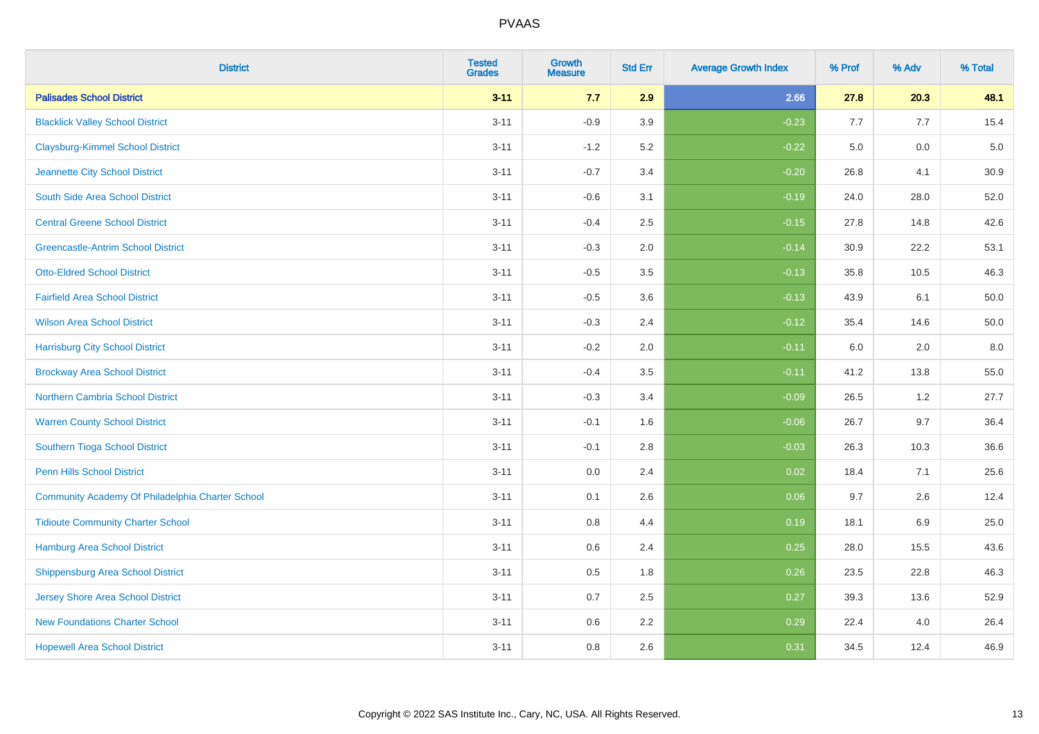| <b>District</b>                                  | <b>Tested</b><br><b>Grades</b> | Growth<br><b>Measure</b> | <b>Std Err</b> | <b>Average Growth Index</b> | % Prof | % Adv | % Total |
|--------------------------------------------------|--------------------------------|--------------------------|----------------|-----------------------------|--------|-------|---------|
| <b>Palisades School District</b>                 | $3 - 11$                       | 7.7                      | 2.9            | 2.66                        | 27.8   | 20.3  | 48.1    |
| <b>Blacklick Valley School District</b>          | $3 - 11$                       | $-0.9$                   | 3.9            | $-0.23$                     | 7.7    | 7.7   | 15.4    |
| <b>Claysburg-Kimmel School District</b>          | $3 - 11$                       | $-1.2$                   | 5.2            | $-0.22$                     | 5.0    | 0.0   | $5.0$   |
| Jeannette City School District                   | $3 - 11$                       | $-0.7$                   | 3.4            | $-0.20$                     | 26.8   | 4.1   | 30.9    |
| South Side Area School District                  | $3 - 11$                       | $-0.6$                   | 3.1            | $-0.19$                     | 24.0   | 28.0  | 52.0    |
| <b>Central Greene School District</b>            | $3 - 11$                       | $-0.4$                   | 2.5            | $-0.15$                     | 27.8   | 14.8  | 42.6    |
| <b>Greencastle-Antrim School District</b>        | $3 - 11$                       | $-0.3$                   | 2.0            | $-0.14$                     | 30.9   | 22.2  | 53.1    |
| <b>Otto-Eldred School District</b>               | $3 - 11$                       | $-0.5$                   | 3.5            | $-0.13$                     | 35.8   | 10.5  | 46.3    |
| <b>Fairfield Area School District</b>            | $3 - 11$                       | $-0.5$                   | 3.6            | $-0.13$                     | 43.9   | 6.1   | 50.0    |
| <b>Wilson Area School District</b>               | $3 - 11$                       | $-0.3$                   | 2.4            | $-0.12$                     | 35.4   | 14.6  | 50.0    |
| <b>Harrisburg City School District</b>           | $3 - 11$                       | $-0.2$                   | 2.0            | $-0.11$                     | 6.0    | 2.0   | $8.0\,$ |
| <b>Brockway Area School District</b>             | $3 - 11$                       | $-0.4$                   | 3.5            | $-0.11$                     | 41.2   | 13.8  | 55.0    |
| <b>Northern Cambria School District</b>          | $3 - 11$                       | $-0.3$                   | 3.4            | $-0.09$                     | 26.5   | 1.2   | 27.7    |
| <b>Warren County School District</b>             | $3 - 11$                       | $-0.1$                   | 1.6            | $-0.06$                     | 26.7   | 9.7   | 36.4    |
| Southern Tioga School District                   | $3 - 11$                       | $-0.1$                   | 2.8            | $-0.03$                     | 26.3   | 10.3  | 36.6    |
| <b>Penn Hills School District</b>                | $3 - 11$                       | 0.0                      | 2.4            | 0.02                        | 18.4   | 7.1   | 25.6    |
| Community Academy Of Philadelphia Charter School | $3 - 11$                       | 0.1                      | 2.6            | 0.06                        | 9.7    | 2.6   | 12.4    |
| <b>Tidioute Community Charter School</b>         | $3 - 11$                       | 0.8                      | 4.4            | 0.19                        | 18.1   | 6.9   | 25.0    |
| Hamburg Area School District                     | $3 - 11$                       | 0.6                      | 2.4            | 0.25                        | 28.0   | 15.5  | 43.6    |
| <b>Shippensburg Area School District</b>         | $3 - 11$                       | 0.5                      | 1.8            | 0.26                        | 23.5   | 22.8  | 46.3    |
| <b>Jersey Shore Area School District</b>         | $3 - 11$                       | 0.7                      | 2.5            | 0.27                        | 39.3   | 13.6  | 52.9    |
| <b>New Foundations Charter School</b>            | $3 - 11$                       | 0.6                      | 2.2            | 0.29                        | 22.4   | 4.0   | 26.4    |
| <b>Hopewell Area School District</b>             | $3 - 11$                       | 0.8                      | 2.6            | 0.31                        | 34.5   | 12.4  | 46.9    |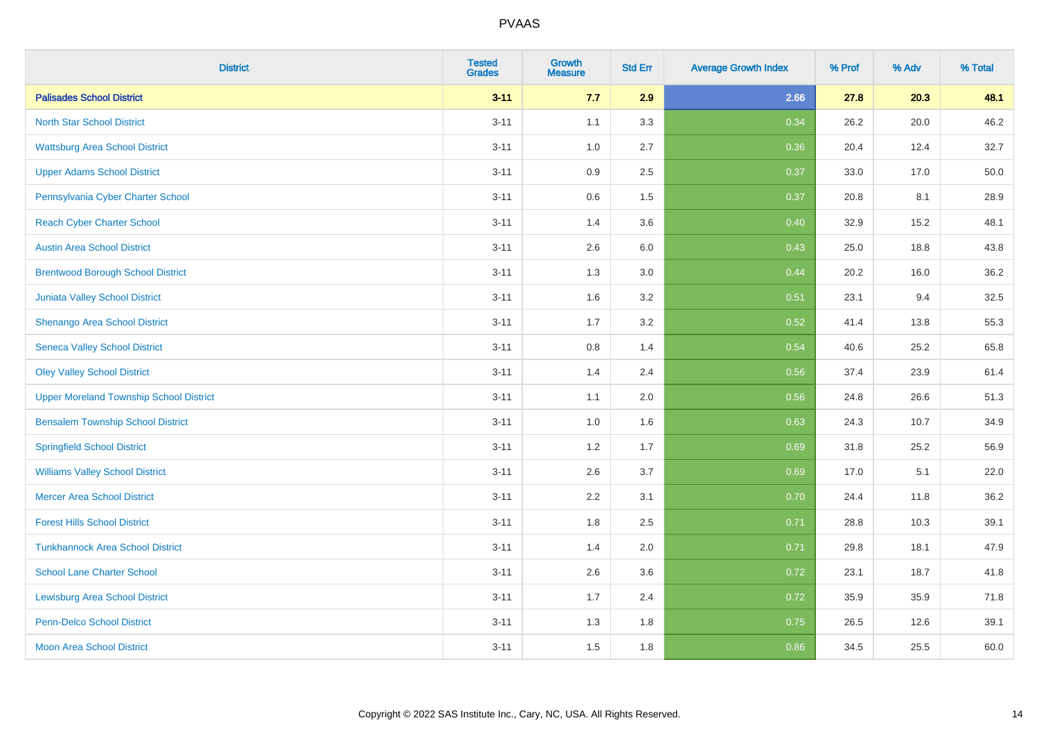| <b>District</b>                                | <b>Tested</b><br><b>Grades</b> | <b>Growth</b><br><b>Measure</b> | <b>Std Err</b> | <b>Average Growth Index</b> | % Prof | % Adv | % Total |
|------------------------------------------------|--------------------------------|---------------------------------|----------------|-----------------------------|--------|-------|---------|
| <b>Palisades School District</b>               | $3 - 11$                       | 7.7                             | 2.9            | 2.66                        | 27.8   | 20.3  | 48.1    |
| <b>North Star School District</b>              | $3 - 11$                       | 1.1                             | 3.3            | 0.34                        | 26.2   | 20.0  | 46.2    |
| <b>Wattsburg Area School District</b>          | $3 - 11$                       | 1.0                             | 2.7            | 0.36                        | 20.4   | 12.4  | 32.7    |
| <b>Upper Adams School District</b>             | $3 - 11$                       | 0.9                             | 2.5            | 0.37                        | 33.0   | 17.0  | 50.0    |
| Pennsylvania Cyber Charter School              | $3 - 11$                       | 0.6                             | 1.5            | 0.37                        | 20.8   | 8.1   | 28.9    |
| <b>Reach Cyber Charter School</b>              | $3 - 11$                       | 1.4                             | 3.6            | 0.40                        | 32.9   | 15.2  | 48.1    |
| <b>Austin Area School District</b>             | $3 - 11$                       | 2.6                             | 6.0            | 0.43                        | 25.0   | 18.8  | 43.8    |
| <b>Brentwood Borough School District</b>       | $3 - 11$                       | 1.3                             | 3.0            | 0.44                        | 20.2   | 16.0  | 36.2    |
| Juniata Valley School District                 | $3 - 11$                       | 1.6                             | 3.2            | 0.51                        | 23.1   | 9.4   | 32.5    |
| Shenango Area School District                  | $3 - 11$                       | 1.7                             | 3.2            | 0.52                        | 41.4   | 13.8  | 55.3    |
| <b>Seneca Valley School District</b>           | $3 - 11$                       | 0.8                             | 1.4            | 0.54                        | 40.6   | 25.2  | 65.8    |
| <b>Oley Valley School District</b>             | $3 - 11$                       | 1.4                             | 2.4            | 0.56                        | 37.4   | 23.9  | 61.4    |
| <b>Upper Moreland Township School District</b> | $3 - 11$                       | 1.1                             | 2.0            | 0.56                        | 24.8   | 26.6  | 51.3    |
| <b>Bensalem Township School District</b>       | $3 - 11$                       | 1.0                             | 1.6            | 0.63                        | 24.3   | 10.7  | 34.9    |
| <b>Springfield School District</b>             | $3 - 11$                       | 1.2                             | 1.7            | 0.69                        | 31.8   | 25.2  | 56.9    |
| <b>Williams Valley School District</b>         | $3 - 11$                       | 2.6                             | 3.7            | 0.69                        | 17.0   | 5.1   | 22.0    |
| <b>Mercer Area School District</b>             | $3 - 11$                       | $2.2\,$                         | 3.1            | 0.70                        | 24.4   | 11.8  | 36.2    |
| <b>Forest Hills School District</b>            | $3 - 11$                       | 1.8                             | 2.5            | 0.71                        | 28.8   | 10.3  | 39.1    |
| <b>Tunkhannock Area School District</b>        | $3 - 11$                       | 1.4                             | 2.0            | 0.71                        | 29.8   | 18.1  | 47.9    |
| <b>School Lane Charter School</b>              | $3 - 11$                       | 2.6                             | 3.6            | 0.72                        | 23.1   | 18.7  | 41.8    |
| <b>Lewisburg Area School District</b>          | $3 - 11$                       | 1.7                             | 2.4            | 0.72                        | 35.9   | 35.9  | 71.8    |
| <b>Penn-Delco School District</b>              | $3 - 11$                       | 1.3                             | 1.8            | 0.75                        | 26.5   | 12.6  | 39.1    |
| <b>Moon Area School District</b>               | $3 - 11$                       | 1.5                             | 1.8            | 0.86                        | 34.5   | 25.5  | 60.0    |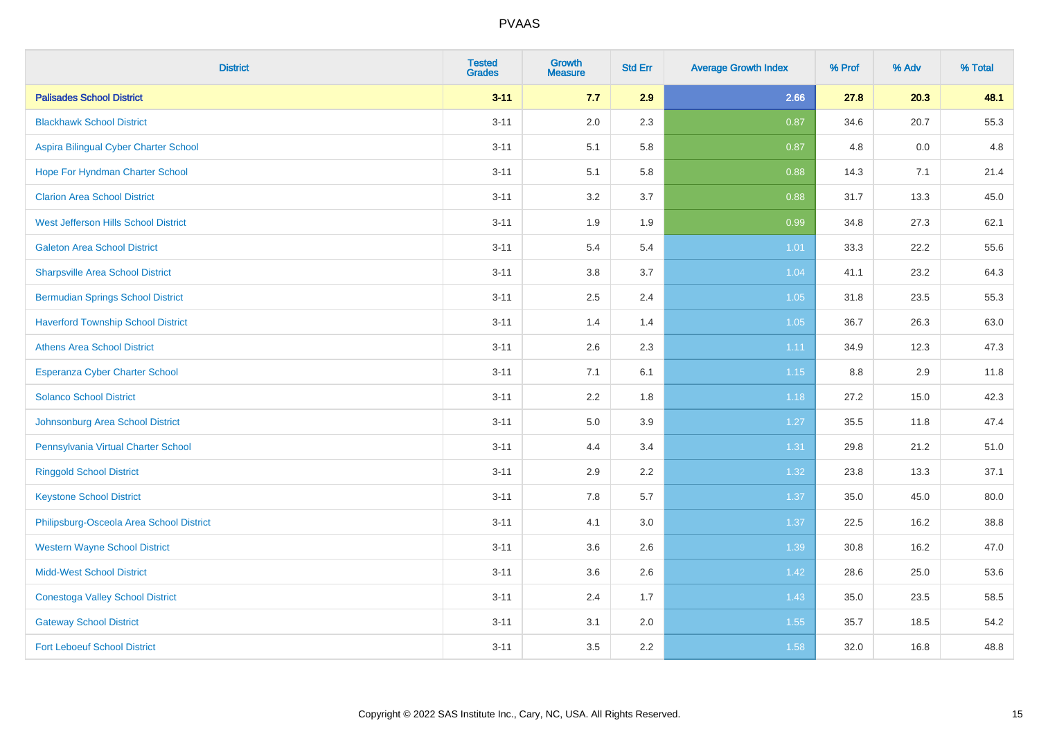| <b>District</b>                           | <b>Tested</b><br><b>Grades</b> | <b>Growth</b><br><b>Measure</b> | <b>Std Err</b> | <b>Average Growth Index</b> | % Prof | % Adv | % Total |
|-------------------------------------------|--------------------------------|---------------------------------|----------------|-----------------------------|--------|-------|---------|
| <b>Palisades School District</b>          | $3 - 11$                       | 7.7                             | 2.9            | 2.66                        | 27.8   | 20.3  | 48.1    |
| <b>Blackhawk School District</b>          | $3 - 11$                       | 2.0                             | 2.3            | 0.87                        | 34.6   | 20.7  | 55.3    |
| Aspira Bilingual Cyber Charter School     | $3 - 11$                       | 5.1                             | 5.8            | 0.87                        | 4.8    | 0.0   | 4.8     |
| Hope For Hyndman Charter School           | $3 - 11$                       | 5.1                             | 5.8            | 0.88                        | 14.3   | 7.1   | 21.4    |
| <b>Clarion Area School District</b>       | $3 - 11$                       | 3.2                             | 3.7            | 0.88                        | 31.7   | 13.3  | 45.0    |
| West Jefferson Hills School District      | $3 - 11$                       | 1.9                             | 1.9            | 0.99                        | 34.8   | 27.3  | 62.1    |
| <b>Galeton Area School District</b>       | $3 - 11$                       | 5.4                             | 5.4            | 1.01                        | 33.3   | 22.2  | 55.6    |
| <b>Sharpsville Area School District</b>   | $3 - 11$                       | 3.8                             | 3.7            | 1.04                        | 41.1   | 23.2  | 64.3    |
| <b>Bermudian Springs School District</b>  | $3 - 11$                       | 2.5                             | 2.4            | 1.05                        | 31.8   | 23.5  | 55.3    |
| <b>Haverford Township School District</b> | $3 - 11$                       | 1.4                             | 1.4            | 1.05                        | 36.7   | 26.3  | 63.0    |
| <b>Athens Area School District</b>        | $3 - 11$                       | 2.6                             | 2.3            | 1.11                        | 34.9   | 12.3  | 47.3    |
| <b>Esperanza Cyber Charter School</b>     | $3 - 11$                       | 7.1                             | 6.1            | $1.15$                      | 8.8    | 2.9   | 11.8    |
| <b>Solanco School District</b>            | $3 - 11$                       | 2.2                             | 1.8            | 1.18                        | 27.2   | 15.0  | 42.3    |
| Johnsonburg Area School District          | $3 - 11$                       | $5.0\,$                         | 3.9            | 1.27                        | 35.5   | 11.8  | 47.4    |
| Pennsylvania Virtual Charter School       | $3 - 11$                       | 4.4                             | 3.4            | 1.31                        | 29.8   | 21.2  | 51.0    |
| <b>Ringgold School District</b>           | $3 - 11$                       | 2.9                             | 2.2            | 1.32                        | 23.8   | 13.3  | 37.1    |
| <b>Keystone School District</b>           | $3 - 11$                       | 7.8                             | 5.7            | 1.37                        | 35.0   | 45.0  | 80.0    |
| Philipsburg-Osceola Area School District  | $3 - 11$                       | 4.1                             | 3.0            | 1.37                        | 22.5   | 16.2  | 38.8    |
| <b>Western Wayne School District</b>      | $3 - 11$                       | 3.6                             | 2.6            | 1.39                        | 30.8   | 16.2  | 47.0    |
| <b>Midd-West School District</b>          | $3 - 11$                       | 3.6                             | 2.6            | 1.42                        | 28.6   | 25.0  | 53.6    |
| <b>Conestoga Valley School District</b>   | $3 - 11$                       | 2.4                             | 1.7            | 1.43                        | 35.0   | 23.5  | 58.5    |
| <b>Gateway School District</b>            | $3 - 11$                       | 3.1                             | 2.0            | 1.55                        | 35.7   | 18.5  | 54.2    |
| <b>Fort Leboeuf School District</b>       | $3 - 11$                       | 3.5                             | 2.2            | 1.58                        | 32.0   | 16.8  | 48.8    |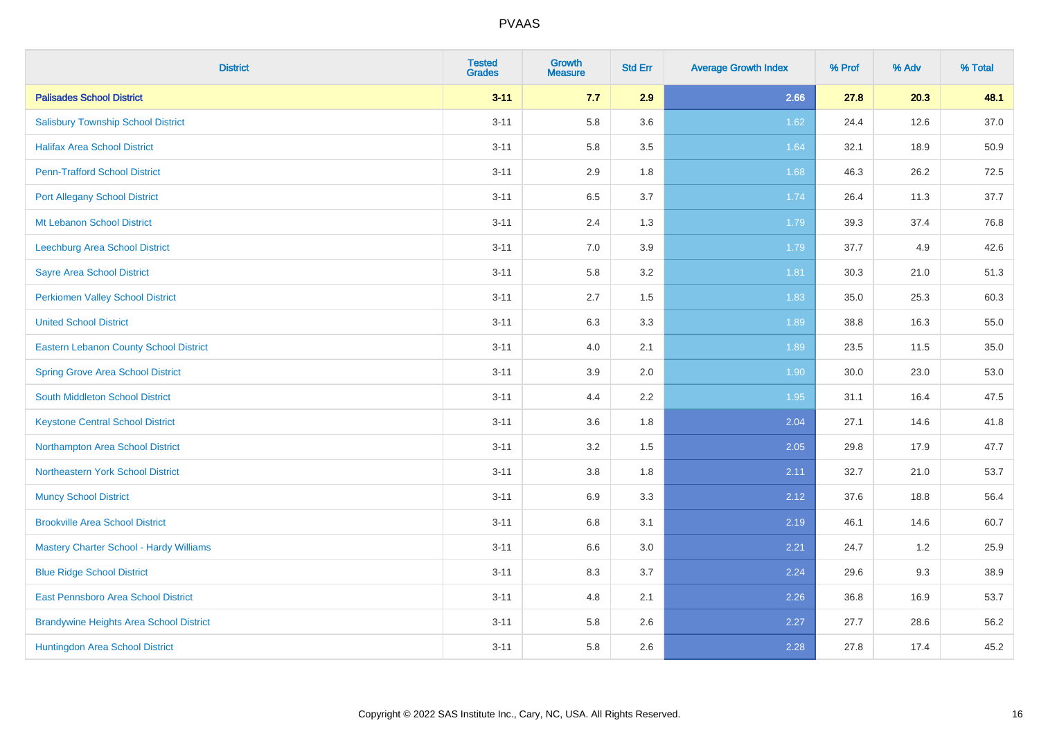| <b>District</b>                                | <b>Tested</b><br><b>Grades</b> | Growth<br><b>Measure</b> | <b>Std Err</b> | <b>Average Growth Index</b> | % Prof | % Adv | % Total |
|------------------------------------------------|--------------------------------|--------------------------|----------------|-----------------------------|--------|-------|---------|
| <b>Palisades School District</b>               | $3 - 11$                       | 7.7                      | 2.9            | 2.66                        | 27.8   | 20.3  | 48.1    |
| <b>Salisbury Township School District</b>      | $3 - 11$                       | 5.8                      | 3.6            | 1.62                        | 24.4   | 12.6  | 37.0    |
| <b>Halifax Area School District</b>            | $3 - 11$                       | 5.8                      | 3.5            | 1.64                        | 32.1   | 18.9  | 50.9    |
| <b>Penn-Trafford School District</b>           | $3 - 11$                       | 2.9                      | 1.8            | 1.68                        | 46.3   | 26.2  | 72.5    |
| <b>Port Allegany School District</b>           | $3 - 11$                       | 6.5                      | 3.7            | 1.74                        | 26.4   | 11.3  | 37.7    |
| Mt Lebanon School District                     | $3 - 11$                       | 2.4                      | 1.3            | 1.79                        | 39.3   | 37.4  | 76.8    |
| Leechburg Area School District                 | $3 - 11$                       | $7.0\,$                  | 3.9            | 1.79                        | 37.7   | 4.9   | 42.6    |
| <b>Sayre Area School District</b>              | $3 - 11$                       | 5.8                      | 3.2            | 1.81                        | 30.3   | 21.0  | 51.3    |
| <b>Perkiomen Valley School District</b>        | $3 - 11$                       | 2.7                      | 1.5            | 1.83                        | 35.0   | 25.3  | 60.3    |
| <b>United School District</b>                  | $3 - 11$                       | $6.3\,$                  | 3.3            | 1.89                        | 38.8   | 16.3  | 55.0    |
| <b>Eastern Lebanon County School District</b>  | $3 - 11$                       | 4.0                      | 2.1            | 1.89                        | 23.5   | 11.5  | 35.0    |
| <b>Spring Grove Area School District</b>       | $3 - 11$                       | 3.9                      | 2.0            | 1.90                        | 30.0   | 23.0  | 53.0    |
| South Middleton School District                | $3 - 11$                       | 4.4                      | 2.2            | 1.95                        | 31.1   | 16.4  | 47.5    |
| <b>Keystone Central School District</b>        | $3 - 11$                       | 3.6                      | 1.8            | 2.04                        | 27.1   | 14.6  | 41.8    |
| Northampton Area School District               | $3 - 11$                       | 3.2                      | 1.5            | 2.05                        | 29.8   | 17.9  | 47.7    |
| Northeastern York School District              | $3 - 11$                       | 3.8                      | 1.8            | 2.11                        | 32.7   | 21.0  | 53.7    |
| <b>Muncy School District</b>                   | $3 - 11$                       | 6.9                      | 3.3            | 2.12                        | 37.6   | 18.8  | 56.4    |
| <b>Brookville Area School District</b>         | $3 - 11$                       | 6.8                      | 3.1            | 2.19                        | 46.1   | 14.6  | 60.7    |
| <b>Mastery Charter School - Hardy Williams</b> | $3 - 11$                       | 6.6                      | 3.0            | 2.21                        | 24.7   | 1.2   | 25.9    |
| <b>Blue Ridge School District</b>              | $3 - 11$                       | 8.3                      | 3.7            | 2.24                        | 29.6   | 9.3   | 38.9    |
| East Pennsboro Area School District            | $3 - 11$                       | 4.8                      | 2.1            | 2.26                        | 36.8   | 16.9  | 53.7    |
| <b>Brandywine Heights Area School District</b> | $3 - 11$                       | 5.8                      | 2.6            | 2.27                        | 27.7   | 28.6  | 56.2    |
| Huntingdon Area School District                | $3 - 11$                       | 5.8                      | 2.6            | 2.28                        | 27.8   | 17.4  | 45.2    |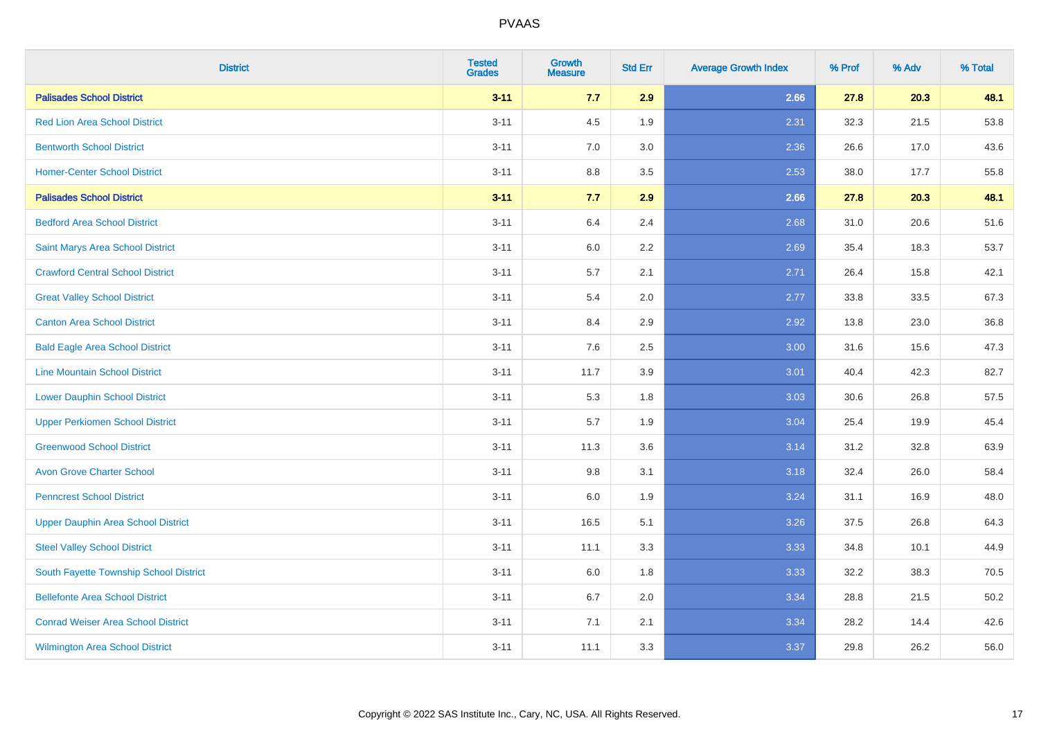| <b>District</b>                           | <b>Tested</b><br><b>Grades</b> | <b>Growth</b><br><b>Measure</b> | <b>Std Err</b> | <b>Average Growth Index</b> | % Prof | % Adv | % Total |
|-------------------------------------------|--------------------------------|---------------------------------|----------------|-----------------------------|--------|-------|---------|
| <b>Palisades School District</b>          | $3 - 11$                       | 7.7                             | 2.9            | 2.66                        | 27.8   | 20.3  | 48.1    |
| <b>Red Lion Area School District</b>      | $3 - 11$                       | 4.5                             | 1.9            | 2.31                        | 32.3   | 21.5  | 53.8    |
| <b>Bentworth School District</b>          | $3 - 11$                       | 7.0                             | 3.0            | 2.36                        | 26.6   | 17.0  | 43.6    |
| <b>Homer-Center School District</b>       | $3 - 11$                       | $8.8\,$                         | 3.5            | 2.53                        | 38.0   | 17.7  | 55.8    |
| <b>Palisades School District</b>          | $3 - 11$                       | 7.7                             | 2.9            | 2.66                        | 27.8   | 20.3  | 48.1    |
| <b>Bedford Area School District</b>       | $3 - 11$                       | 6.4                             | 2.4            | 2.68                        | 31.0   | 20.6  | 51.6    |
| Saint Marys Area School District          | $3 - 11$                       | $6.0\,$                         | 2.2            | 2.69                        | 35.4   | 18.3  | 53.7    |
| <b>Crawford Central School District</b>   | $3 - 11$                       | 5.7                             | 2.1            | 2.71                        | 26.4   | 15.8  | 42.1    |
| <b>Great Valley School District</b>       | $3 - 11$                       | 5.4                             | 2.0            | 2.77                        | 33.8   | 33.5  | 67.3    |
| <b>Canton Area School District</b>        | $3 - 11$                       | 8.4                             | 2.9            | 2.92                        | 13.8   | 23.0  | 36.8    |
| <b>Bald Eagle Area School District</b>    | $3 - 11$                       | 7.6                             | 2.5            | 3.00                        | 31.6   | 15.6  | 47.3    |
| <b>Line Mountain School District</b>      | $3 - 11$                       | 11.7                            | 3.9            | 3.01                        | 40.4   | 42.3  | 82.7    |
| <b>Lower Dauphin School District</b>      | $3 - 11$                       | 5.3                             | 1.8            | 3.03                        | 30.6   | 26.8  | 57.5    |
| <b>Upper Perkiomen School District</b>    | $3 - 11$                       | 5.7                             | 1.9            | 3.04                        | 25.4   | 19.9  | 45.4    |
| <b>Greenwood School District</b>          | $3 - 11$                       | 11.3                            | 3.6            | 3.14                        | 31.2   | 32.8  | 63.9    |
| <b>Avon Grove Charter School</b>          | $3 - 11$                       | 9.8                             | 3.1            | 3.18                        | 32.4   | 26.0  | 58.4    |
| <b>Penncrest School District</b>          | $3 - 11$                       | 6.0                             | 1.9            | 3.24                        | 31.1   | 16.9  | 48.0    |
| <b>Upper Dauphin Area School District</b> | $3 - 11$                       | 16.5                            | 5.1            | 3.26                        | 37.5   | 26.8  | 64.3    |
| <b>Steel Valley School District</b>       | $3 - 11$                       | 11.1                            | 3.3            | 3.33                        | 34.8   | 10.1  | 44.9    |
| South Fayette Township School District    | $3 - 11$                       | 6.0                             | 1.8            | 3.33                        | 32.2   | 38.3  | 70.5    |
| <b>Bellefonte Area School District</b>    | $3 - 11$                       | 6.7                             | 2.0            | 3.34                        | 28.8   | 21.5  | 50.2    |
| <b>Conrad Weiser Area School District</b> | $3 - 11$                       | 7.1                             | 2.1            | 3.34                        | 28.2   | 14.4  | 42.6    |
| Wilmington Area School District           | $3 - 11$                       | 11.1                            | 3.3            | 3.37                        | 29.8   | 26.2  | 56.0    |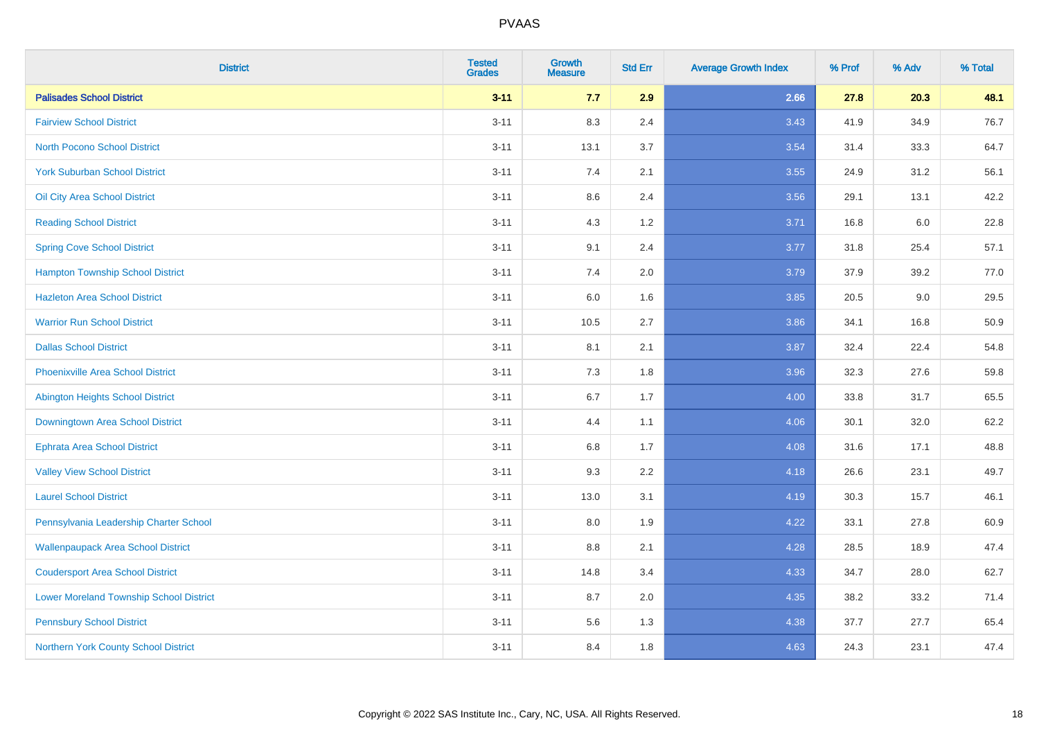| <b>District</b>                                | <b>Tested</b><br><b>Grades</b> | Growth<br><b>Measure</b> | <b>Std Err</b> | <b>Average Growth Index</b> | % Prof | % Adv | % Total |
|------------------------------------------------|--------------------------------|--------------------------|----------------|-----------------------------|--------|-------|---------|
| <b>Palisades School District</b>               | $3 - 11$                       | 7.7                      | 2.9            | 2.66                        | 27.8   | 20.3  | 48.1    |
| <b>Fairview School District</b>                | $3 - 11$                       | 8.3                      | 2.4            | 3.43                        | 41.9   | 34.9  | 76.7    |
| <b>North Pocono School District</b>            | $3 - 11$                       | 13.1                     | 3.7            | 3.54                        | 31.4   | 33.3  | 64.7    |
| <b>York Suburban School District</b>           | $3 - 11$                       | $7.4$                    | 2.1            | 3.55                        | 24.9   | 31.2  | 56.1    |
| Oil City Area School District                  | $3 - 11$                       | 8.6                      | 2.4            | 3.56                        | 29.1   | 13.1  | 42.2    |
| <b>Reading School District</b>                 | $3 - 11$                       | 4.3                      | 1.2            | 3.71                        | 16.8   | 6.0   | 22.8    |
| <b>Spring Cove School District</b>             | $3 - 11$                       | 9.1                      | 2.4            | 3.77                        | 31.8   | 25.4  | 57.1    |
| <b>Hampton Township School District</b>        | $3 - 11$                       | 7.4                      | 2.0            | 3.79                        | 37.9   | 39.2  | 77.0    |
| <b>Hazleton Area School District</b>           | $3 - 11$                       | 6.0                      | 1.6            | 3.85                        | 20.5   | 9.0   | 29.5    |
| <b>Warrior Run School District</b>             | $3 - 11$                       | 10.5                     | 2.7            | 3.86                        | 34.1   | 16.8  | 50.9    |
| <b>Dallas School District</b>                  | $3 - 11$                       | 8.1                      | 2.1            | 3.87                        | 32.4   | 22.4  | 54.8    |
| <b>Phoenixville Area School District</b>       | $3 - 11$                       | 7.3                      | 1.8            | 3.96                        | 32.3   | 27.6  | 59.8    |
| <b>Abington Heights School District</b>        | $3 - 11$                       | 6.7                      | 1.7            | 4.00                        | 33.8   | 31.7  | 65.5    |
| Downingtown Area School District               | $3 - 11$                       | 4.4                      | 1.1            | 4.06                        | 30.1   | 32.0  | 62.2    |
| <b>Ephrata Area School District</b>            | $3 - 11$                       | 6.8                      | 1.7            | 4.08                        | 31.6   | 17.1  | 48.8    |
| <b>Valley View School District</b>             | $3 - 11$                       | 9.3                      | 2.2            | 4.18                        | 26.6   | 23.1  | 49.7    |
| <b>Laurel School District</b>                  | $3 - 11$                       | 13.0                     | 3.1            | 4.19                        | 30.3   | 15.7  | 46.1    |
| Pennsylvania Leadership Charter School         | $3 - 11$                       | 8.0                      | 1.9            | 4.22                        | 33.1   | 27.8  | 60.9    |
| <b>Wallenpaupack Area School District</b>      | $3 - 11$                       | 8.8                      | 2.1            | 4.28                        | 28.5   | 18.9  | 47.4    |
| <b>Coudersport Area School District</b>        | $3 - 11$                       | 14.8                     | 3.4            | 4.33                        | 34.7   | 28.0  | 62.7    |
| <b>Lower Moreland Township School District</b> | $3 - 11$                       | 8.7                      | 2.0            | 4.35                        | 38.2   | 33.2  | 71.4    |
| <b>Pennsbury School District</b>               | $3 - 11$                       | 5.6                      | 1.3            | 4.38                        | 37.7   | 27.7  | 65.4    |
| Northern York County School District           | $3 - 11$                       | 8.4                      | 1.8            | 4.63                        | 24.3   | 23.1  | 47.4    |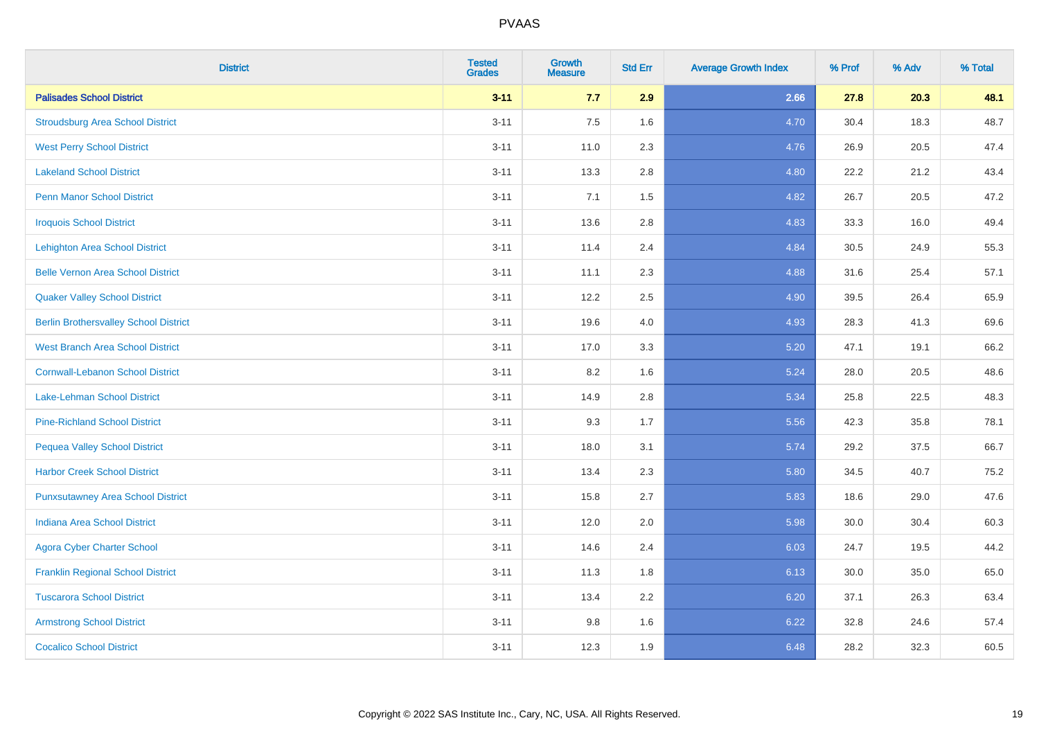| <b>District</b>                              | <b>Tested</b><br><b>Grades</b> | <b>Growth</b><br><b>Measure</b> | <b>Std Err</b> | <b>Average Growth Index</b> | % Prof | % Adv | % Total |
|----------------------------------------------|--------------------------------|---------------------------------|----------------|-----------------------------|--------|-------|---------|
| <b>Palisades School District</b>             | $3 - 11$                       | 7.7                             | 2.9            | 2.66                        | 27.8   | 20.3  | 48.1    |
| <b>Stroudsburg Area School District</b>      | $3 - 11$                       | 7.5                             | 1.6            | 4.70                        | 30.4   | 18.3  | 48.7    |
| <b>West Perry School District</b>            | $3 - 11$                       | 11.0                            | 2.3            | 4.76                        | 26.9   | 20.5  | 47.4    |
| <b>Lakeland School District</b>              | $3 - 11$                       | 13.3                            | 2.8            | 4.80                        | 22.2   | 21.2  | 43.4    |
| <b>Penn Manor School District</b>            | $3 - 11$                       | 7.1                             | 1.5            | 4.82                        | 26.7   | 20.5  | 47.2    |
| <b>Iroquois School District</b>              | $3 - 11$                       | 13.6                            | 2.8            | 4.83                        | 33.3   | 16.0  | 49.4    |
| <b>Lehighton Area School District</b>        | $3 - 11$                       | 11.4                            | 2.4            | 4.84                        | 30.5   | 24.9  | 55.3    |
| <b>Belle Vernon Area School District</b>     | $3 - 11$                       | 11.1                            | 2.3            | 4.88                        | 31.6   | 25.4  | 57.1    |
| <b>Quaker Valley School District</b>         | $3 - 11$                       | 12.2                            | 2.5            | 4.90                        | 39.5   | 26.4  | 65.9    |
| <b>Berlin Brothersvalley School District</b> | $3 - 11$                       | 19.6                            | 4.0            | 4.93                        | 28.3   | 41.3  | 69.6    |
| <b>West Branch Area School District</b>      | $3 - 11$                       | 17.0                            | 3.3            | 5.20                        | 47.1   | 19.1  | 66.2    |
| <b>Cornwall-Lebanon School District</b>      | $3 - 11$                       | 8.2                             | 1.6            | 5.24                        | 28.0   | 20.5  | 48.6    |
| Lake-Lehman School District                  | $3 - 11$                       | 14.9                            | 2.8            | 5.34                        | 25.8   | 22.5  | 48.3    |
| <b>Pine-Richland School District</b>         | $3 - 11$                       | 9.3                             | 1.7            | 5.56                        | 42.3   | 35.8  | 78.1    |
| <b>Pequea Valley School District</b>         | $3 - 11$                       | 18.0                            | 3.1            | 5.74                        | 29.2   | 37.5  | 66.7    |
| <b>Harbor Creek School District</b>          | $3 - 11$                       | 13.4                            | 2.3            | 5.80                        | 34.5   | 40.7  | 75.2    |
| <b>Punxsutawney Area School District</b>     | $3 - 11$                       | 15.8                            | 2.7            | 5.83                        | 18.6   | 29.0  | 47.6    |
| <b>Indiana Area School District</b>          | $3 - 11$                       | 12.0                            | 2.0            | 5.98                        | 30.0   | 30.4  | 60.3    |
| <b>Agora Cyber Charter School</b>            | $3 - 11$                       | 14.6                            | 2.4            | 6.03                        | 24.7   | 19.5  | 44.2    |
| <b>Franklin Regional School District</b>     | $3 - 11$                       | 11.3                            | 1.8            | 6.13                        | 30.0   | 35.0  | 65.0    |
| <b>Tuscarora School District</b>             | $3 - 11$                       | 13.4                            | 2.2            | 6.20                        | 37.1   | 26.3  | 63.4    |
| <b>Armstrong School District</b>             | $3 - 11$                       | 9.8                             | 1.6            | 6.22                        | 32.8   | 24.6  | 57.4    |
| <b>Cocalico School District</b>              | $3 - 11$                       | 12.3                            | 1.9            | 6.48                        | 28.2   | 32.3  | 60.5    |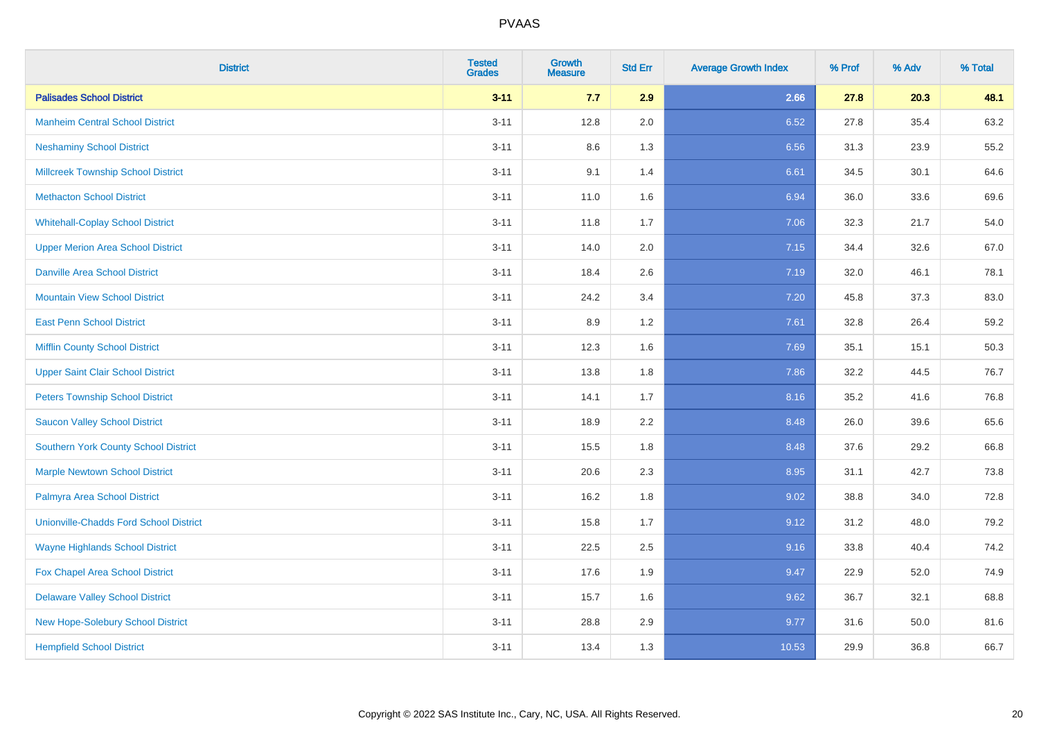| <b>District</b>                               | <b>Tested</b><br><b>Grades</b> | <b>Growth</b><br><b>Measure</b> | <b>Std Err</b> | <b>Average Growth Index</b> | % Prof | % Adv | % Total |
|-----------------------------------------------|--------------------------------|---------------------------------|----------------|-----------------------------|--------|-------|---------|
| <b>Palisades School District</b>              | $3 - 11$                       | 7.7                             | 2.9            | 2.66                        | 27.8   | 20.3  | 48.1    |
| <b>Manheim Central School District</b>        | $3 - 11$                       | 12.8                            | 2.0            | 6.52                        | 27.8   | 35.4  | 63.2    |
| <b>Neshaminy School District</b>              | $3 - 11$                       | 8.6                             | 1.3            | 6.56                        | 31.3   | 23.9  | 55.2    |
| <b>Millcreek Township School District</b>     | $3 - 11$                       | 9.1                             | 1.4            | 6.61                        | 34.5   | 30.1  | 64.6    |
| <b>Methacton School District</b>              | $3 - 11$                       | 11.0                            | 1.6            | 6.94                        | 36.0   | 33.6  | 69.6    |
| <b>Whitehall-Coplay School District</b>       | $3 - 11$                       | 11.8                            | 1.7            | 7.06                        | 32.3   | 21.7  | 54.0    |
| <b>Upper Merion Area School District</b>      | $3 - 11$                       | 14.0                            | 2.0            | 7.15                        | 34.4   | 32.6  | 67.0    |
| <b>Danville Area School District</b>          | $3 - 11$                       | 18.4                            | 2.6            | 7.19                        | 32.0   | 46.1  | 78.1    |
| <b>Mountain View School District</b>          | $3 - 11$                       | 24.2                            | 3.4            | 7.20                        | 45.8   | 37.3  | 83.0    |
| <b>East Penn School District</b>              | $3 - 11$                       | 8.9                             | 1.2            | 7.61                        | 32.8   | 26.4  | 59.2    |
| <b>Mifflin County School District</b>         | $3 - 11$                       | 12.3                            | 1.6            | 7.69                        | 35.1   | 15.1  | 50.3    |
| <b>Upper Saint Clair School District</b>      | $3 - 11$                       | 13.8                            | 1.8            | 7.86                        | 32.2   | 44.5  | 76.7    |
| <b>Peters Township School District</b>        | $3 - 11$                       | 14.1                            | 1.7            | 8.16                        | 35.2   | 41.6  | 76.8    |
| <b>Saucon Valley School District</b>          | $3 - 11$                       | 18.9                            | 2.2            | 8.48                        | 26.0   | 39.6  | 65.6    |
| Southern York County School District          | $3 - 11$                       | 15.5                            | 1.8            | 8.48                        | 37.6   | 29.2  | 66.8    |
| <b>Marple Newtown School District</b>         | $3 - 11$                       | 20.6                            | 2.3            | 8.95                        | 31.1   | 42.7  | 73.8    |
| Palmyra Area School District                  | $3 - 11$                       | 16.2                            | 1.8            | 9.02                        | 38.8   | 34.0  | 72.8    |
| <b>Unionville-Chadds Ford School District</b> | $3 - 11$                       | 15.8                            | 1.7            | 9.12                        | 31.2   | 48.0  | 79.2    |
| <b>Wayne Highlands School District</b>        | $3 - 11$                       | 22.5                            | 2.5            | 9.16                        | 33.8   | 40.4  | 74.2    |
| Fox Chapel Area School District               | $3 - 11$                       | 17.6                            | 1.9            | 9.47                        | 22.9   | 52.0  | 74.9    |
| <b>Delaware Valley School District</b>        | $3 - 11$                       | 15.7                            | 1.6            | 9.62                        | 36.7   | 32.1  | 68.8    |
| New Hope-Solebury School District             | $3 - 11$                       | 28.8                            | 2.9            | 9.77                        | 31.6   | 50.0  | 81.6    |
| <b>Hempfield School District</b>              | $3 - 11$                       | 13.4                            | 1.3            | 10.53                       | 29.9   | 36.8  | 66.7    |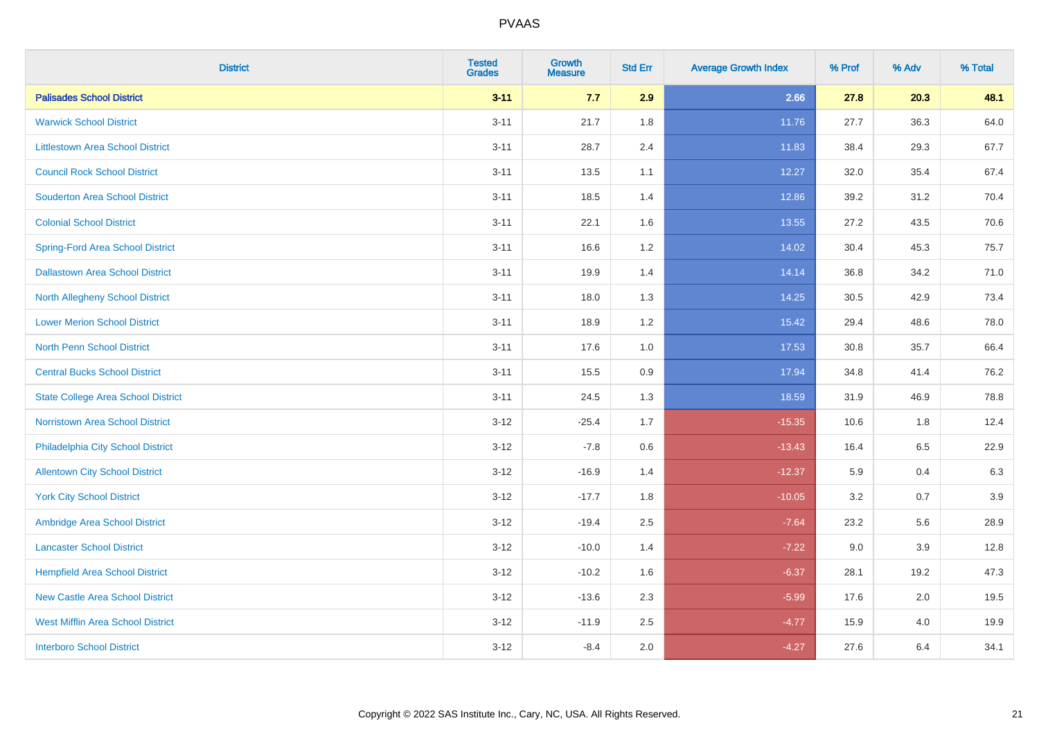| <b>District</b>                           | <b>Tested</b><br><b>Grades</b> | <b>Growth</b><br><b>Measure</b> | <b>Std Err</b> | <b>Average Growth Index</b> | % Prof | % Adv | % Total |
|-------------------------------------------|--------------------------------|---------------------------------|----------------|-----------------------------|--------|-------|---------|
| <b>Palisades School District</b>          | $3 - 11$                       | 7.7                             | 2.9            | 2.66                        | 27.8   | 20.3  | 48.1    |
| <b>Warwick School District</b>            | $3 - 11$                       | 21.7                            | 1.8            | 11.76                       | 27.7   | 36.3  | 64.0    |
| <b>Littlestown Area School District</b>   | $3 - 11$                       | 28.7                            | 2.4            | 11.83                       | 38.4   | 29.3  | 67.7    |
| <b>Council Rock School District</b>       | $3 - 11$                       | 13.5                            | 1.1            | 12.27                       | 32.0   | 35.4  | 67.4    |
| <b>Souderton Area School District</b>     | $3 - 11$                       | 18.5                            | 1.4            | 12.86                       | 39.2   | 31.2  | 70.4    |
| <b>Colonial School District</b>           | $3 - 11$                       | 22.1                            | 1.6            | 13.55                       | 27.2   | 43.5  | 70.6    |
| <b>Spring-Ford Area School District</b>   | $3 - 11$                       | 16.6                            | 1.2            | 14.02                       | 30.4   | 45.3  | 75.7    |
| <b>Dallastown Area School District</b>    | $3 - 11$                       | 19.9                            | 1.4            | 14.14                       | 36.8   | 34.2  | 71.0    |
| <b>North Allegheny School District</b>    | $3 - 11$                       | 18.0                            | 1.3            | 14.25                       | 30.5   | 42.9  | 73.4    |
| <b>Lower Merion School District</b>       | $3 - 11$                       | 18.9                            | 1.2            | 15.42                       | 29.4   | 48.6  | 78.0    |
| North Penn School District                | $3 - 11$                       | 17.6                            | 1.0            | 17.53                       | 30.8   | 35.7  | 66.4    |
| <b>Central Bucks School District</b>      | $3 - 11$                       | 15.5                            | 0.9            | 17.94                       | 34.8   | 41.4  | 76.2    |
| <b>State College Area School District</b> | $3 - 11$                       | 24.5                            | 1.3            | 18.59                       | 31.9   | 46.9  | 78.8    |
| <b>Norristown Area School District</b>    | $3 - 12$                       | $-25.4$                         | 1.7            | $-15.35$                    | 10.6   | 1.8   | 12.4    |
| Philadelphia City School District         | $3 - 12$                       | $-7.8$                          | 0.6            | $-13.43$                    | 16.4   | 6.5   | 22.9    |
| <b>Allentown City School District</b>     | $3 - 12$                       | $-16.9$                         | 1.4            | $-12.37$                    | 5.9    | 0.4   | 6.3     |
| <b>York City School District</b>          | $3 - 12$                       | $-17.7$                         | 1.8            | $-10.05$                    | 3.2    | 0.7   | 3.9     |
| Ambridge Area School District             | $3 - 12$                       | $-19.4$                         | 2.5            | $-7.64$                     | 23.2   | 5.6   | 28.9    |
| <b>Lancaster School District</b>          | $3 - 12$                       | $-10.0$                         | 1.4            | $-7.22$                     | 9.0    | 3.9   | 12.8    |
| <b>Hempfield Area School District</b>     | $3 - 12$                       | $-10.2$                         | 1.6            | $-6.37$                     | 28.1   | 19.2  | 47.3    |
| <b>New Castle Area School District</b>    | $3 - 12$                       | $-13.6$                         | 2.3            | $-5.99$                     | 17.6   | 2.0   | 19.5    |
| <b>West Mifflin Area School District</b>  | $3 - 12$                       | $-11.9$                         | 2.5            | $-4.77$                     | 15.9   | 4.0   | 19.9    |
| <b>Interboro School District</b>          | $3 - 12$                       | $-8.4$                          | 2.0            | $-4.27$                     | 27.6   | 6.4   | 34.1    |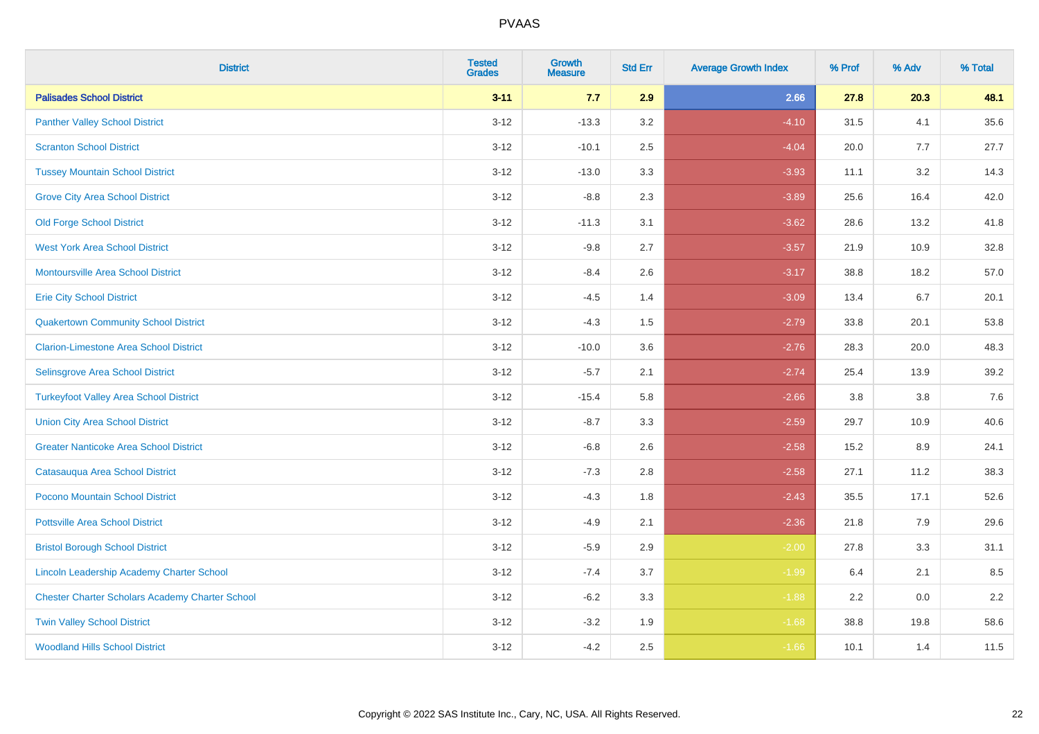| <b>District</b>                                        | <b>Tested</b><br><b>Grades</b> | <b>Growth</b><br><b>Measure</b> | <b>Std Err</b> | <b>Average Growth Index</b> | % Prof | % Adv | % Total |
|--------------------------------------------------------|--------------------------------|---------------------------------|----------------|-----------------------------|--------|-------|---------|
| <b>Palisades School District</b>                       | $3 - 11$                       | 7.7                             | 2.9            | 2.66                        | 27.8   | 20.3  | 48.1    |
| <b>Panther Valley School District</b>                  | $3 - 12$                       | $-13.3$                         | 3.2            | $-4.10$                     | 31.5   | 4.1   | 35.6    |
| <b>Scranton School District</b>                        | $3 - 12$                       | $-10.1$                         | 2.5            | $-4.04$                     | 20.0   | 7.7   | 27.7    |
| <b>Tussey Mountain School District</b>                 | $3 - 12$                       | $-13.0$                         | 3.3            | $-3.93$                     | 11.1   | 3.2   | 14.3    |
| <b>Grove City Area School District</b>                 | $3 - 12$                       | $-8.8$                          | 2.3            | $-3.89$                     | 25.6   | 16.4  | 42.0    |
| <b>Old Forge School District</b>                       | $3 - 12$                       | $-11.3$                         | 3.1            | $-3.62$                     | 28.6   | 13.2  | 41.8    |
| <b>West York Area School District</b>                  | $3 - 12$                       | $-9.8$                          | 2.7            | $-3.57$                     | 21.9   | 10.9  | 32.8    |
| <b>Montoursville Area School District</b>              | $3 - 12$                       | $-8.4$                          | 2.6            | $-3.17$                     | 38.8   | 18.2  | 57.0    |
| <b>Erie City School District</b>                       | $3 - 12$                       | $-4.5$                          | 1.4            | $-3.09$                     | 13.4   | 6.7   | 20.1    |
| <b>Quakertown Community School District</b>            | $3 - 12$                       | $-4.3$                          | 1.5            | $-2.79$                     | 33.8   | 20.1  | 53.8    |
| <b>Clarion-Limestone Area School District</b>          | $3 - 12$                       | $-10.0$                         | 3.6            | $-2.76$                     | 28.3   | 20.0  | 48.3    |
| Selinsgrove Area School District                       | $3 - 12$                       | $-5.7$                          | 2.1            | $-2.74$                     | 25.4   | 13.9  | 39.2    |
| <b>Turkeyfoot Valley Area School District</b>          | $3 - 12$                       | $-15.4$                         | 5.8            | $-2.66$                     | 3.8    | 3.8   | $7.6$   |
| <b>Union City Area School District</b>                 | $3 - 12$                       | $-8.7$                          | 3.3            | $-2.59$                     | 29.7   | 10.9  | 40.6    |
| <b>Greater Nanticoke Area School District</b>          | $3 - 12$                       | $-6.8$                          | 2.6            | $-2.58$                     | 15.2   | 8.9   | 24.1    |
| Catasauqua Area School District                        | $3 - 12$                       | $-7.3$                          | 2.8            | $-2.58$                     | 27.1   | 11.2  | 38.3    |
| Pocono Mountain School District                        | $3 - 12$                       | $-4.3$                          | 1.8            | $-2.43$                     | 35.5   | 17.1  | 52.6    |
| <b>Pottsville Area School District</b>                 | $3 - 12$                       | $-4.9$                          | 2.1            | $-2.36$                     | 21.8   | 7.9   | 29.6    |
| <b>Bristol Borough School District</b>                 | $3 - 12$                       | $-5.9$                          | 2.9            | $-2.00$                     | 27.8   | 3.3   | 31.1    |
| Lincoln Leadership Academy Charter School              | $3 - 12$                       | $-7.4$                          | 3.7            | $-1.99$                     | 6.4    | 2.1   | 8.5     |
| <b>Chester Charter Scholars Academy Charter School</b> | $3 - 12$                       | $-6.2$                          | 3.3            | $-1.88$                     | 2.2    | 0.0   | 2.2     |
| <b>Twin Valley School District</b>                     | $3 - 12$                       | $-3.2$                          | 1.9            | $-1.68$                     | 38.8   | 19.8  | 58.6    |
| <b>Woodland Hills School District</b>                  | $3 - 12$                       | $-4.2$                          | 2.5            | $-1.66$                     | 10.1   | 1.4   | 11.5    |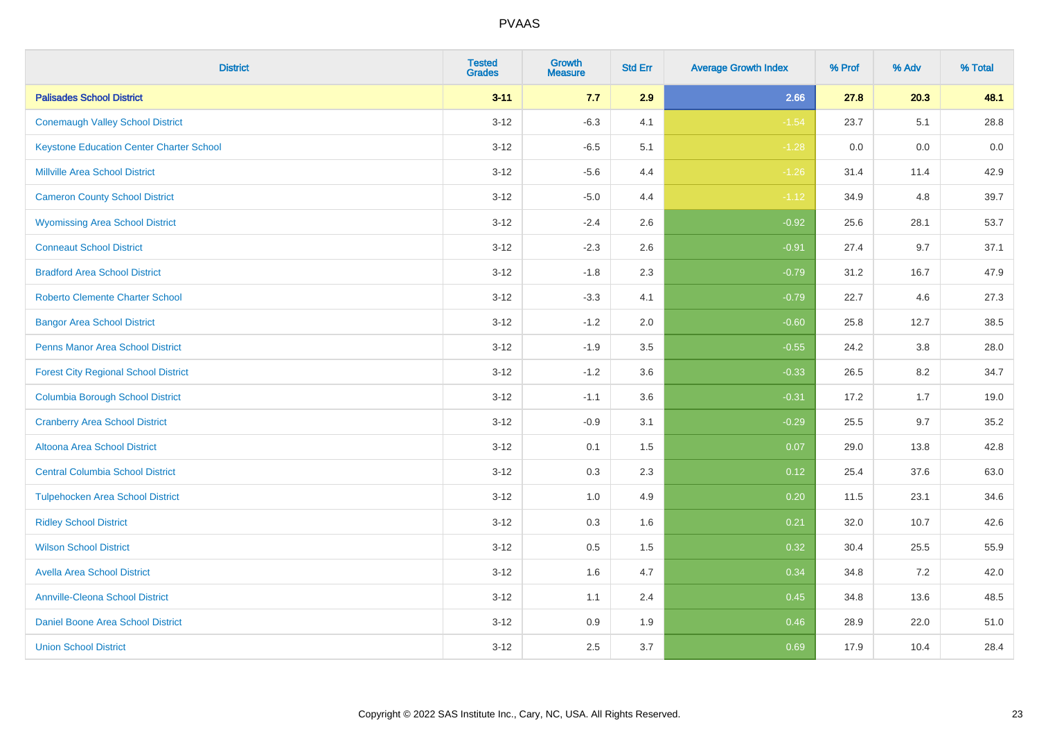| <b>District</b>                                 | <b>Tested</b><br><b>Grades</b> | <b>Growth</b><br><b>Measure</b> | <b>Std Err</b> | <b>Average Growth Index</b> | % Prof | % Adv | % Total |
|-------------------------------------------------|--------------------------------|---------------------------------|----------------|-----------------------------|--------|-------|---------|
| <b>Palisades School District</b>                | $3 - 11$                       | 7.7                             | 2.9            | 2.66                        | 27.8   | 20.3  | 48.1    |
| <b>Conemaugh Valley School District</b>         | $3 - 12$                       | $-6.3$                          | 4.1            | $-1.54$                     | 23.7   | 5.1   | 28.8    |
| <b>Keystone Education Center Charter School</b> | $3 - 12$                       | $-6.5$                          | 5.1            | $-1.28$                     | 0.0    | 0.0   | 0.0     |
| <b>Millville Area School District</b>           | $3 - 12$                       | $-5.6$                          | 4.4            | $-1.26$                     | 31.4   | 11.4  | 42.9    |
| <b>Cameron County School District</b>           | $3-12$                         | $-5.0$                          | 4.4            | $-1.12$                     | 34.9   | 4.8   | 39.7    |
| <b>Wyomissing Area School District</b>          | $3 - 12$                       | $-2.4$                          | 2.6            | $-0.92$                     | 25.6   | 28.1  | 53.7    |
| <b>Conneaut School District</b>                 | $3 - 12$                       | $-2.3$                          | 2.6            | $-0.91$                     | 27.4   | 9.7   | 37.1    |
| <b>Bradford Area School District</b>            | $3 - 12$                       | $-1.8$                          | 2.3            | $-0.79$                     | 31.2   | 16.7  | 47.9    |
| <b>Roberto Clemente Charter School</b>          | $3 - 12$                       | $-3.3$                          | 4.1            | $-0.79$                     | 22.7   | 4.6   | 27.3    |
| <b>Bangor Area School District</b>              | $3 - 12$                       | $-1.2$                          | 2.0            | $-0.60$                     | 25.8   | 12.7  | 38.5    |
| <b>Penns Manor Area School District</b>         | $3 - 12$                       | $-1.9$                          | 3.5            | $-0.55$                     | 24.2   | 3.8   | 28.0    |
| <b>Forest City Regional School District</b>     | $3 - 12$                       | $-1.2$                          | 3.6            | $-0.33$                     | 26.5   | 8.2   | 34.7    |
| <b>Columbia Borough School District</b>         | $3 - 12$                       | $-1.1$                          | 3.6            | $-0.31$                     | 17.2   | 1.7   | 19.0    |
| <b>Cranberry Area School District</b>           | $3 - 12$                       | $-0.9$                          | 3.1            | $-0.29$                     | 25.5   | 9.7   | 35.2    |
| Altoona Area School District                    | $3 - 12$                       | 0.1                             | 1.5            | 0.07                        | 29.0   | 13.8  | 42.8    |
| <b>Central Columbia School District</b>         | $3 - 12$                       | 0.3                             | 2.3            | 0.12                        | 25.4   | 37.6  | 63.0    |
| <b>Tulpehocken Area School District</b>         | $3 - 12$                       | 1.0                             | 4.9            | 0.20                        | 11.5   | 23.1  | 34.6    |
| <b>Ridley School District</b>                   | $3 - 12$                       | 0.3                             | 1.6            | 0.21                        | 32.0   | 10.7  | 42.6    |
| <b>Wilson School District</b>                   | $3 - 12$                       | $0.5\,$                         | 1.5            | 0.32                        | 30.4   | 25.5  | 55.9    |
| <b>Avella Area School District</b>              | $3-12$                         | 1.6                             | 4.7            | 0.34                        | 34.8   | 7.2   | 42.0    |
| <b>Annville-Cleona School District</b>          | $3 - 12$                       | 1.1                             | 2.4            | 0.45                        | 34.8   | 13.6  | 48.5    |
| Daniel Boone Area School District               | $3 - 12$                       | $0.9\,$                         | 1.9            | 0.46                        | 28.9   | 22.0  | 51.0    |
| <b>Union School District</b>                    | $3-12$                         | 2.5                             | 3.7            | 0.69                        | 17.9   | 10.4  | 28.4    |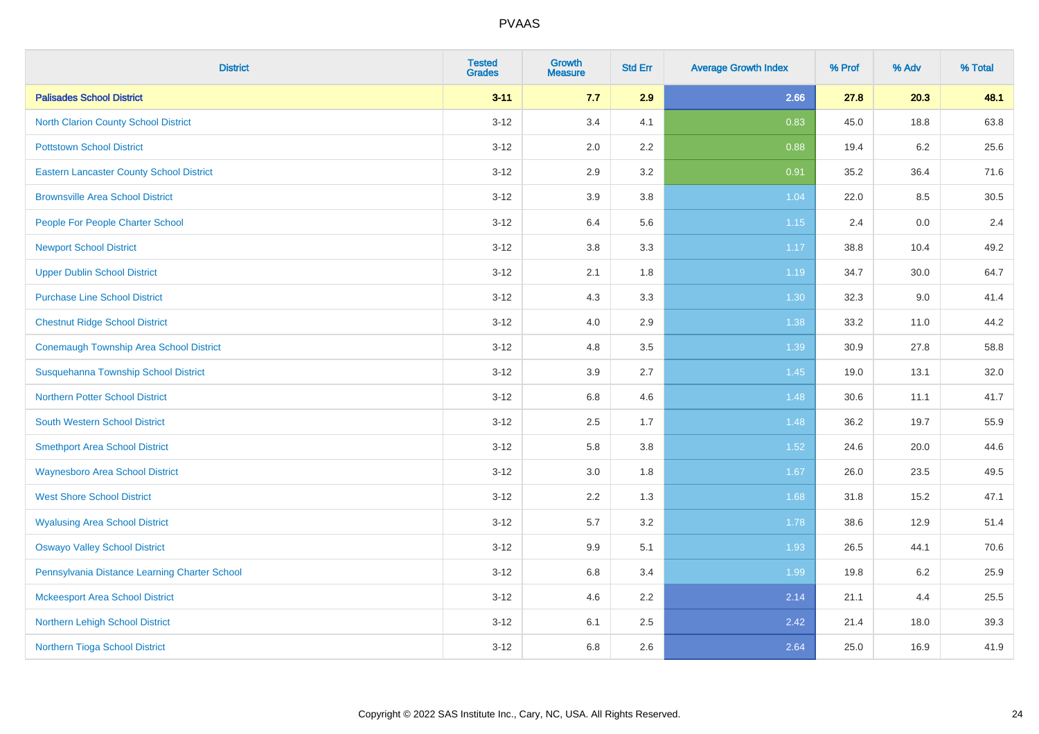| <b>District</b>                                 | <b>Tested</b><br><b>Grades</b> | <b>Growth</b><br><b>Measure</b> | <b>Std Err</b> | <b>Average Growth Index</b> | % Prof | % Adv   | % Total |
|-------------------------------------------------|--------------------------------|---------------------------------|----------------|-----------------------------|--------|---------|---------|
| <b>Palisades School District</b>                | $3 - 11$                       | 7.7                             | 2.9            | 2.66                        | 27.8   | 20.3    | 48.1    |
| <b>North Clarion County School District</b>     | $3 - 12$                       | 3.4                             | 4.1            | 0.83                        | 45.0   | 18.8    | 63.8    |
| <b>Pottstown School District</b>                | $3 - 12$                       | 2.0                             | 2.2            | 0.88                        | 19.4   | $6.2\,$ | 25.6    |
| <b>Eastern Lancaster County School District</b> | $3 - 12$                       | 2.9                             | 3.2            | 0.91                        | 35.2   | 36.4    | 71.6    |
| <b>Brownsville Area School District</b>         | $3 - 12$                       | 3.9                             | 3.8            | 1.04                        | 22.0   | 8.5     | 30.5    |
| People For People Charter School                | $3 - 12$                       | 6.4                             | 5.6            | $1.15$                      | 2.4    | 0.0     | 2.4     |
| <b>Newport School District</b>                  | $3 - 12$                       | 3.8                             | 3.3            | 1.17                        | 38.8   | 10.4    | 49.2    |
| <b>Upper Dublin School District</b>             | $3 - 12$                       | 2.1                             | 1.8            | 1.19                        | 34.7   | 30.0    | 64.7    |
| <b>Purchase Line School District</b>            | $3 - 12$                       | 4.3                             | 3.3            | 1.30                        | 32.3   | 9.0     | 41.4    |
| <b>Chestnut Ridge School District</b>           | $3 - 12$                       | 4.0                             | 2.9            | 1.38                        | 33.2   | 11.0    | 44.2    |
| Conemaugh Township Area School District         | $3 - 12$                       | 4.8                             | 3.5            | 1.39                        | 30.9   | 27.8    | 58.8    |
| Susquehanna Township School District            | $3 - 12$                       | 3.9                             | 2.7            | 1.45                        | 19.0   | 13.1    | 32.0    |
| <b>Northern Potter School District</b>          | $3 - 12$                       | $6.8\,$                         | 4.6            | 1.48                        | 30.6   | 11.1    | 41.7    |
| <b>South Western School District</b>            | $3 - 12$                       | 2.5                             | 1.7            | 1.48                        | 36.2   | 19.7    | 55.9    |
| <b>Smethport Area School District</b>           | $3 - 12$                       | 5.8                             | 3.8            | 1.52                        | 24.6   | 20.0    | 44.6    |
| <b>Waynesboro Area School District</b>          | $3 - 12$                       | 3.0                             | 1.8            | 1.67                        | 26.0   | 23.5    | 49.5    |
| <b>West Shore School District</b>               | $3 - 12$                       | 2.2                             | 1.3            | 1.68                        | 31.8   | 15.2    | 47.1    |
| <b>Wyalusing Area School District</b>           | $3 - 12$                       | 5.7                             | 3.2            | 1.78                        | 38.6   | 12.9    | 51.4    |
| <b>Oswayo Valley School District</b>            | $3 - 12$                       | 9.9                             | 5.1            | 1.93                        | 26.5   | 44.1    | 70.6    |
| Pennsylvania Distance Learning Charter School   | $3 - 12$                       | $6.8\,$                         | 3.4            | 1.99                        | 19.8   | 6.2     | 25.9    |
| <b>Mckeesport Area School District</b>          | $3 - 12$                       | 4.6                             | 2.2            | 2.14                        | 21.1   | 4.4     | 25.5    |
| Northern Lehigh School District                 | $3 - 12$                       | 6.1                             | 2.5            | 2.42                        | 21.4   | 18.0    | 39.3    |
| Northern Tioga School District                  | $3 - 12$                       | 6.8                             | 2.6            | 2.64                        | 25.0   | 16.9    | 41.9    |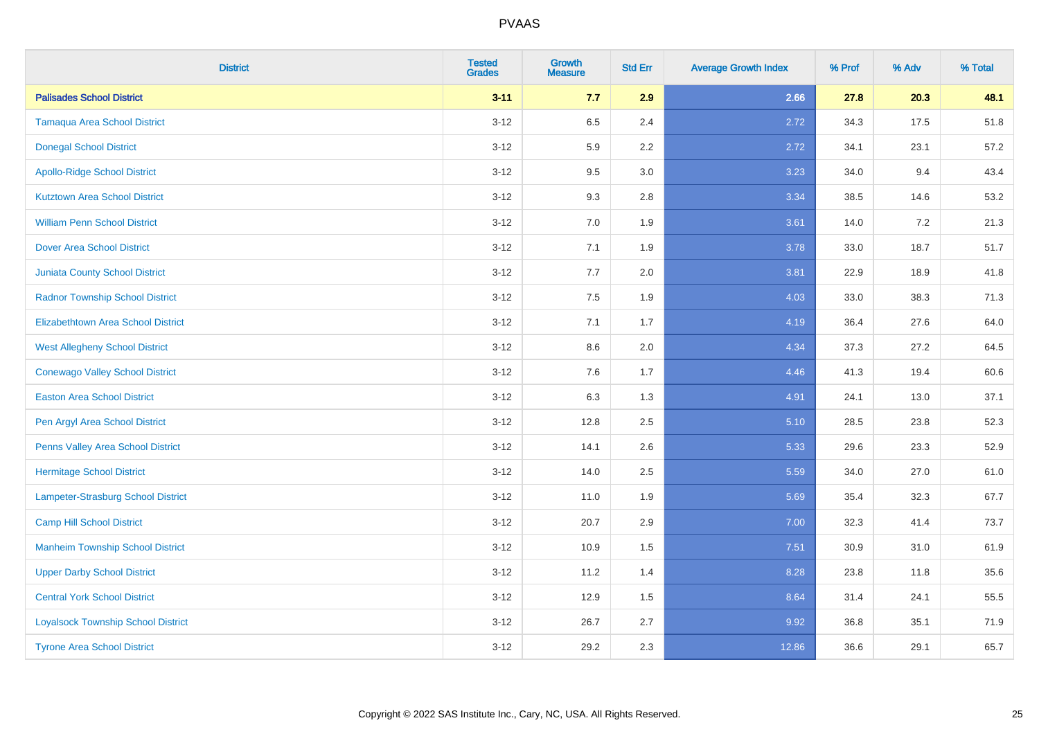| <b>District</b>                           | <b>Tested</b><br><b>Grades</b> | <b>Growth</b><br><b>Measure</b> | <b>Std Err</b> | <b>Average Growth Index</b> | % Prof | % Adv | % Total |
|-------------------------------------------|--------------------------------|---------------------------------|----------------|-----------------------------|--------|-------|---------|
| <b>Palisades School District</b>          | $3 - 11$                       | 7.7                             | 2.9            | 2.66                        | 27.8   | 20.3  | 48.1    |
| <b>Tamaqua Area School District</b>       | $3 - 12$                       | 6.5                             | 2.4            | 2.72                        | 34.3   | 17.5  | 51.8    |
| <b>Donegal School District</b>            | $3 - 12$                       | 5.9                             | 2.2            | 2.72                        | 34.1   | 23.1  | 57.2    |
| <b>Apollo-Ridge School District</b>       | $3-12$                         | 9.5                             | 3.0            | 3.23                        | 34.0   | 9.4   | 43.4    |
| <b>Kutztown Area School District</b>      | $3-12$                         | 9.3                             | 2.8            | 3.34                        | 38.5   | 14.6  | 53.2    |
| <b>William Penn School District</b>       | $3 - 12$                       | 7.0                             | 1.9            | 3.61                        | 14.0   | 7.2   | 21.3    |
| <b>Dover Area School District</b>         | $3 - 12$                       | 7.1                             | 1.9            | 3.78                        | 33.0   | 18.7  | 51.7    |
| <b>Juniata County School District</b>     | $3-12$                         | 7.7                             | 2.0            | 3.81                        | 22.9   | 18.9  | 41.8    |
| <b>Radnor Township School District</b>    | $3-12$                         | 7.5                             | 1.9            | 4.03                        | 33.0   | 38.3  | 71.3    |
| <b>Elizabethtown Area School District</b> | $3 - 12$                       | 7.1                             | 1.7            | 4.19                        | 36.4   | 27.6  | 64.0    |
| <b>West Allegheny School District</b>     | $3 - 12$                       | 8.6                             | 2.0            | 4.34                        | 37.3   | 27.2  | 64.5    |
| <b>Conewago Valley School District</b>    | $3 - 12$                       | 7.6                             | 1.7            | 4.46                        | 41.3   | 19.4  | 60.6    |
| <b>Easton Area School District</b>        | $3 - 12$                       | 6.3                             | 1.3            | 4.91                        | 24.1   | 13.0  | 37.1    |
| Pen Argyl Area School District            | $3 - 12$                       | 12.8                            | 2.5            | 5.10                        | 28.5   | 23.8  | 52.3    |
| Penns Valley Area School District         | $3-12$                         | 14.1                            | 2.6            | 5.33                        | 29.6   | 23.3  | 52.9    |
| <b>Hermitage School District</b>          | $3 - 12$                       | 14.0                            | 2.5            | 5.59                        | 34.0   | 27.0  | 61.0    |
| <b>Lampeter-Strasburg School District</b> | $3 - 12$                       | 11.0                            | 1.9            | 5.69                        | 35.4   | 32.3  | 67.7    |
| <b>Camp Hill School District</b>          | $3-12$                         | 20.7                            | 2.9            | 7.00                        | 32.3   | 41.4  | 73.7    |
| <b>Manheim Township School District</b>   | $3 - 12$                       | 10.9                            | 1.5            | 7.51                        | 30.9   | 31.0  | 61.9    |
| <b>Upper Darby School District</b>        | $3 - 12$                       | 11.2                            | 1.4            | 8.28                        | 23.8   | 11.8  | 35.6    |
| <b>Central York School District</b>       | $3 - 12$                       | 12.9                            | 1.5            | 8.64                        | 31.4   | 24.1  | 55.5    |
| <b>Loyalsock Township School District</b> | $3 - 12$                       | 26.7                            | 2.7            | 9.92                        | 36.8   | 35.1  | 71.9    |
| <b>Tyrone Area School District</b>        | $3 - 12$                       | 29.2                            | 2.3            | 12.86                       | 36.6   | 29.1  | 65.7    |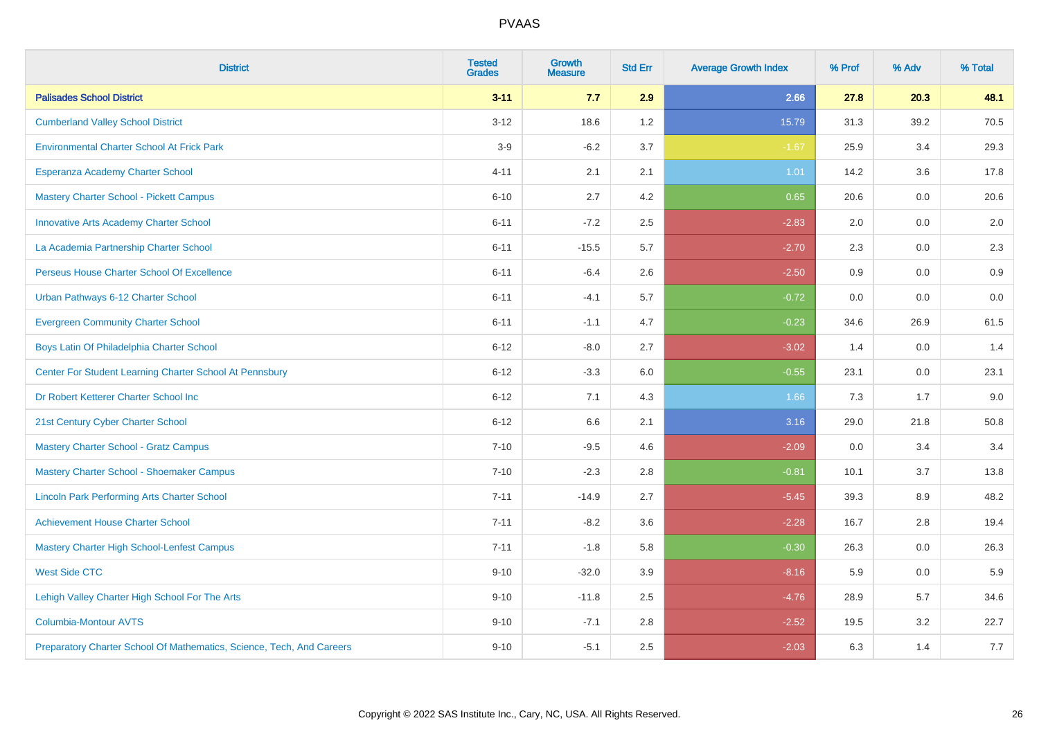| <b>District</b>                                                       | <b>Tested</b><br><b>Grades</b> | <b>Growth</b><br><b>Measure</b> | <b>Std Err</b> | <b>Average Growth Index</b> | % Prof | % Adv | % Total |
|-----------------------------------------------------------------------|--------------------------------|---------------------------------|----------------|-----------------------------|--------|-------|---------|
| <b>Palisades School District</b>                                      | $3 - 11$                       | 7.7                             | 2.9            | 2.66                        | 27.8   | 20.3  | 48.1    |
| <b>Cumberland Valley School District</b>                              | $3 - 12$                       | 18.6                            | 1.2            | 15.79                       | 31.3   | 39.2  | 70.5    |
| <b>Environmental Charter School At Frick Park</b>                     | $3-9$                          | $-6.2$                          | 3.7            | $-1.67$                     | 25.9   | 3.4   | 29.3    |
| Esperanza Academy Charter School                                      | $4 - 11$                       | 2.1                             | 2.1            | 1.01                        | 14.2   | 3.6   | 17.8    |
| <b>Mastery Charter School - Pickett Campus</b>                        | $6 - 10$                       | 2.7                             | 4.2            | 0.65                        | 20.6   | 0.0   | 20.6    |
| <b>Innovative Arts Academy Charter School</b>                         | $6 - 11$                       | $-7.2$                          | 2.5            | $-2.83$                     | 2.0    | 0.0   | 2.0     |
| La Academia Partnership Charter School                                | $6 - 11$                       | $-15.5$                         | 5.7            | $-2.70$                     | 2.3    | 0.0   | $2.3\,$ |
| Perseus House Charter School Of Excellence                            | $6 - 11$                       | $-6.4$                          | 2.6            | $-2.50$                     | 0.9    | 0.0   | 0.9     |
| Urban Pathways 6-12 Charter School                                    | $6 - 11$                       | $-4.1$                          | 5.7            | $-0.72$                     | 0.0    | 0.0   | 0.0     |
| <b>Evergreen Community Charter School</b>                             | $6 - 11$                       | $-1.1$                          | 4.7            | $-0.23$                     | 34.6   | 26.9  | 61.5    |
| Boys Latin Of Philadelphia Charter School                             | $6 - 12$                       | $-8.0$                          | 2.7            | $-3.02$                     | 1.4    | 0.0   | 1.4     |
| Center For Student Learning Charter School At Pennsbury               | $6 - 12$                       | $-3.3$                          | 6.0            | $-0.55$                     | 23.1   | 0.0   | 23.1    |
| Dr Robert Ketterer Charter School Inc                                 | $6 - 12$                       | 7.1                             | 4.3            | 1.66                        | 7.3    | 1.7   | 9.0     |
| 21st Century Cyber Charter School                                     | $6 - 12$                       | 6.6                             | 2.1            | 3.16                        | 29.0   | 21.8  | 50.8    |
| <b>Mastery Charter School - Gratz Campus</b>                          | $7 - 10$                       | $-9.5$                          | 4.6            | $-2.09$                     | 0.0    | 3.4   | 3.4     |
| Mastery Charter School - Shoemaker Campus                             | $7 - 10$                       | $-2.3$                          | 2.8            | $-0.81$                     | 10.1   | 3.7   | 13.8    |
| <b>Lincoln Park Performing Arts Charter School</b>                    | $7 - 11$                       | $-14.9$                         | 2.7            | $-5.45$                     | 39.3   | 8.9   | 48.2    |
| <b>Achievement House Charter School</b>                               | $7 - 11$                       | $-8.2$                          | 3.6            | $-2.28$                     | 16.7   | 2.8   | 19.4    |
| <b>Mastery Charter High School-Lenfest Campus</b>                     | $7 - 11$                       | $-1.8$                          | 5.8            | $-0.30$                     | 26.3   | 0.0   | 26.3    |
| <b>West Side CTC</b>                                                  | $9 - 10$                       | $-32.0$                         | 3.9            | $-8.16$                     | 5.9    | 0.0   | 5.9     |
| Lehigh Valley Charter High School For The Arts                        | $9 - 10$                       | $-11.8$                         | 2.5            | $-4.76$                     | 28.9   | 5.7   | 34.6    |
| <b>Columbia-Montour AVTS</b>                                          | $9 - 10$                       | $-7.1$                          | 2.8            | $-2.52$                     | 19.5   | 3.2   | 22.7    |
| Preparatory Charter School Of Mathematics, Science, Tech, And Careers | $9 - 10$                       | $-5.1$                          | 2.5            | $-2.03$                     | 6.3    | 1.4   | 7.7     |